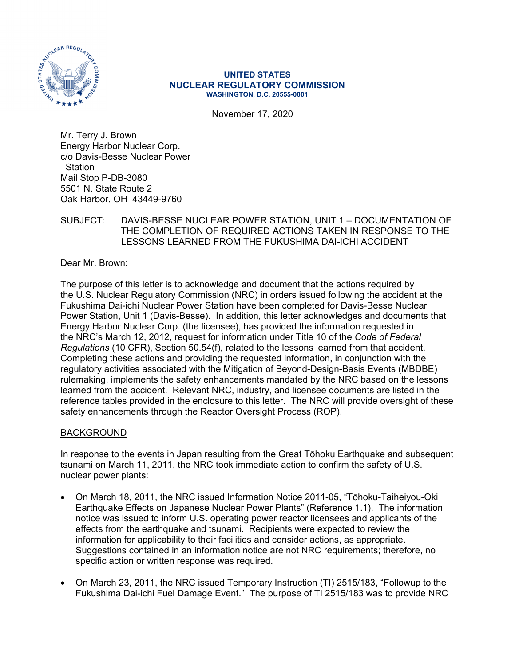

#### **UNITED STATES NUCLEAR REGULATORY COMMISSION WASHINGTON, D.C. 20555-0001**

November 17, 2020

Mr. Terry J. Brown Energy Harbor Nuclear Corp. c/o Davis-Besse Nuclear Power **Station** Mail Stop P-DB-3080 5501 N. State Route 2 Oak Harbor, OH 43449-9760

### SUBJECT: DAVIS-BESSE NUCLEAR POWER STATION, UNIT 1 – DOCUMENTATION OF THE COMPLETION OF REQUIRED ACTIONS TAKEN IN RESPONSE TO THE LESSONS LEARNED FROM THE FUKUSHIMA DAI-ICHI ACCIDENT

Dear Mr. Brown:

The purpose of this letter is to acknowledge and document that the actions required by the U.S. Nuclear Regulatory Commission (NRC) in orders issued following the accident at the Fukushima Dai-ichi Nuclear Power Station have been completed for Davis-Besse Nuclear Power Station, Unit 1 (Davis-Besse). In addition, this letter acknowledges and documents that Energy Harbor Nuclear Corp. (the licensee), has provided the information requested in the NRC's March 12, 2012, request for information under Title 10 of the *Code of Federal Regulations* (10 CFR), Section 50.54(f), related to the lessons learned from that accident. Completing these actions and providing the requested information, in conjunction with the regulatory activities associated with the Mitigation of Beyond-Design-Basis Events (MBDBE) rulemaking, implements the safety enhancements mandated by the NRC based on the lessons learned from the accident. Relevant NRC, industry, and licensee documents are listed in the reference tables provided in the enclosure to this letter. The NRC will provide oversight of these safety enhancements through the Reactor Oversight Process (ROP).

### BACKGROUND

In response to the events in Japan resulting from the Great Tōhoku Earthquake and subsequent tsunami on March 11, 2011, the NRC took immediate action to confirm the safety of U.S. nuclear power plants:

- On March 18, 2011, the NRC issued Information Notice 2011-05, "Tōhoku-Taiheiyou-Oki Earthquake Effects on Japanese Nuclear Power Plants" (Reference 1.1). The information notice was issued to inform U.S. operating power reactor licensees and applicants of the effects from the earthquake and tsunami. Recipients were expected to review the information for applicability to their facilities and consider actions, as appropriate. Suggestions contained in an information notice are not NRC requirements; therefore, no specific action or written response was required.
- On March 23, 2011, the NRC issued Temporary Instruction (TI) 2515/183, "Followup to the Fukushima Dai-ichi Fuel Damage Event." The purpose of TI 2515/183 was to provide NRC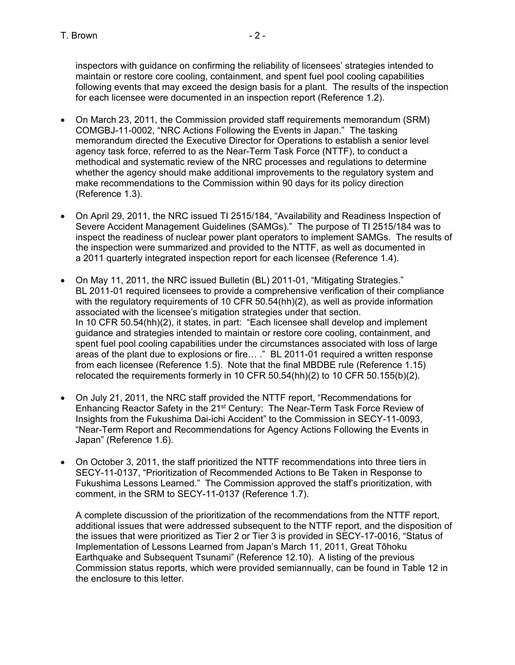inspectors with guidance on confirming the reliability of licensees' strategies intended to maintain or restore core cooling, containment, and spent fuel pool cooling capabilities following events that may exceed the design basis for a plant. The results of the inspection for each licensee were documented in an inspection report (Reference 1.2).

- On March 23, 2011, the Commission provided staff requirements memorandum (SRM) COMGBJ-11-0002, "NRC Actions Following the Events in Japan." The tasking memorandum directed the Executive Director for Operations to establish a senior level agency task force, referred to as the Near-Term Task Force (NTTF), to conduct a methodical and systematic review of the NRC processes and regulations to determine whether the agency should make additional improvements to the regulatory system and make recommendations to the Commission within 90 days for its policy direction (Reference 1.3).
- On April 29, 2011, the NRC issued TI 2515/184, "Availability and Readiness Inspection of Severe Accident Management Guidelines (SAMGs)." The purpose of TI 2515/184 was to inspect the readiness of nuclear power plant operators to implement SAMGs. The results of the inspection were summarized and provided to the NTTF, as well as documented in a 2011 quarterly integrated inspection report for each licensee (Reference 1.4).
- On May 11, 2011, the NRC issued Bulletin (BL) 2011-01, "Mitigating Strategies." BL 2011-01 required licensees to provide a comprehensive verification of their compliance with the regulatory requirements of 10 CFR 50.54(hh)(2), as well as provide information associated with the licensee's mitigation strategies under that section. In 10 CFR 50.54(hh)(2), it states, in part: "Each licensee shall develop and implement guidance and strategies intended to maintain or restore core cooling, containment, and spent fuel pool cooling capabilities under the circumstances associated with loss of large areas of the plant due to explosions or fire… ." BL 2011-01 required a written response from each licensee (Reference 1.5). Note that the final MBDBE rule (Reference 1.15) relocated the requirements formerly in 10 CFR 50.54(hh)(2) to 10 CFR 50.155(b)(2).
- On July 21, 2011, the NRC staff provided the NTTF report, "Recommendations for Enhancing Reactor Safety in the 21st Century: The Near-Term Task Force Review of Insights from the Fukushima Dai-ichi Accident" to the Commission in SECY-11-0093, "Near-Term Report and Recommendations for Agency Actions Following the Events in Japan" (Reference 1.6).
- On October 3, 2011, the staff prioritized the NTTF recommendations into three tiers in SECY-11-0137, "Prioritization of Recommended Actions to Be Taken in Response to Fukushima Lessons Learned." The Commission approved the staff's prioritization, with comment, in the SRM to SECY-11-0137 (Reference 1.7).

A complete discussion of the prioritization of the recommendations from the NTTF report, additional issues that were addressed subsequent to the NTTF report, and the disposition of the issues that were prioritized as Tier 2 or Tier 3 is provided in SECY-17-0016, "Status of Implementation of Lessons Learned from Japan's March 11, 2011, Great Tōhoku Earthquake and Subsequent Tsunami" (Reference 12.10). A listing of the previous Commission status reports, which were provided semiannually, can be found in Table 12 in the enclosure to this letter.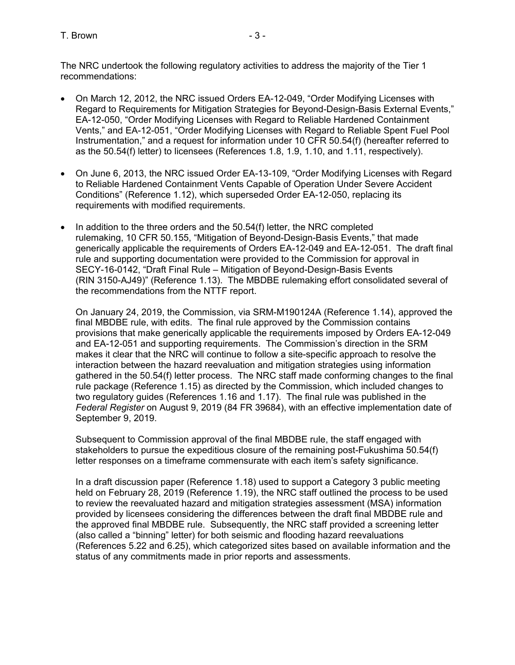The NRC undertook the following regulatory activities to address the majority of the Tier 1 recommendations:

- On March 12, 2012, the NRC issued Orders EA-12-049, "Order Modifying Licenses with Regard to Requirements for Mitigation Strategies for Beyond-Design-Basis External Events," EA-12-050, "Order Modifying Licenses with Regard to Reliable Hardened Containment Vents," and EA-12-051, "Order Modifying Licenses with Regard to Reliable Spent Fuel Pool Instrumentation," and a request for information under 10 CFR 50.54(f) (hereafter referred to as the 50.54(f) letter) to licensees (References 1.8, 1.9, 1.10, and 1.11, respectively).
- On June 6, 2013, the NRC issued Order EA-13-109, "Order Modifying Licenses with Regard to Reliable Hardened Containment Vents Capable of Operation Under Severe Accident Conditions" (Reference 1.12), which superseded Order EA-12-050, replacing its requirements with modified requirements.
- $\bullet$  In addition to the three orders and the 50.54(f) letter, the NRC completed rulemaking, 10 CFR 50.155, "Mitigation of Beyond-Design-Basis Events," that made generically applicable the requirements of Orders EA-12-049 and EA-12-051. The draft final rule and supporting documentation were provided to the Commission for approval in SECY-16-0142, "Draft Final Rule – Mitigation of Beyond-Design-Basis Events (RIN 3150-AJ49)" (Reference 1.13). The MBDBE rulemaking effort consolidated several of the recommendations from the NTTF report.

On January 24, 2019, the Commission, via SRM-M190124A (Reference 1.14), approved the final MBDBE rule, with edits. The final rule approved by the Commission contains provisions that make generically applicable the requirements imposed by Orders EA-12-049 and EA-12-051 and supporting requirements. The Commission's direction in the SRM makes it clear that the NRC will continue to follow a site-specific approach to resolve the interaction between the hazard reevaluation and mitigation strategies using information gathered in the 50.54(f) letter process. The NRC staff made conforming changes to the final rule package (Reference 1.15) as directed by the Commission, which included changes to two regulatory guides (References 1.16 and 1.17). The final rule was published in the *Federal Register* on August 9, 2019 (84 FR 39684), with an effective implementation date of September 9, 2019.

Subsequent to Commission approval of the final MBDBE rule, the staff engaged with stakeholders to pursue the expeditious closure of the remaining post-Fukushima 50.54(f) letter responses on a timeframe commensurate with each item's safety significance.

In a draft discussion paper (Reference 1.18) used to support a Category 3 public meeting held on February 28, 2019 (Reference 1.19), the NRC staff outlined the process to be used to review the reevaluated hazard and mitigation strategies assessment (MSA) information provided by licensees considering the differences between the draft final MBDBE rule and the approved final MBDBE rule. Subsequently, the NRC staff provided a screening letter (also called a "binning" letter) for both seismic and flooding hazard reevaluations (References 5.22 and 6.25), which categorized sites based on available information and the status of any commitments made in prior reports and assessments.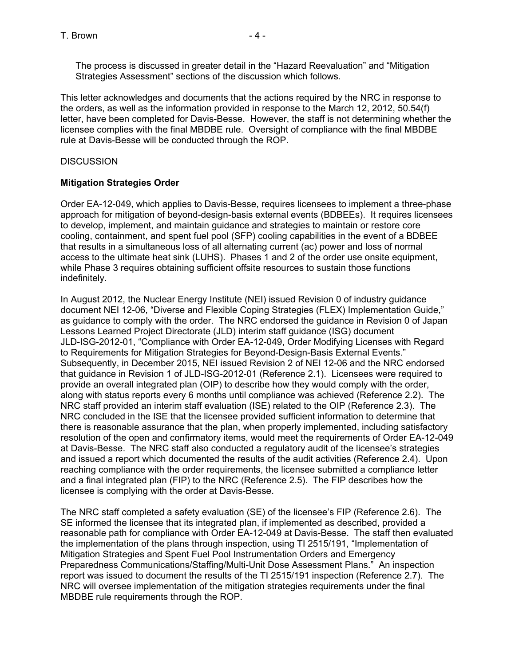The process is discussed in greater detail in the "Hazard Reevaluation" and "Mitigation Strategies Assessment" sections of the discussion which follows.

This letter acknowledges and documents that the actions required by the NRC in response to the orders, as well as the information provided in response to the March 12, 2012, 50.54(f) letter, have been completed for Davis-Besse. However, the staff is not determining whether the licensee complies with the final MBDBE rule. Oversight of compliance with the final MBDBE rule at Davis-Besse will be conducted through the ROP.

### **DISCUSSION**

# **Mitigation Strategies Order**

Order EA-12-049, which applies to Davis-Besse, requires licensees to implement a three-phase approach for mitigation of beyond-design-basis external events (BDBEEs). It requires licensees to develop, implement, and maintain guidance and strategies to maintain or restore core cooling, containment, and spent fuel pool (SFP) cooling capabilities in the event of a BDBEE that results in a simultaneous loss of all alternating current (ac) power and loss of normal access to the ultimate heat sink (LUHS). Phases 1 and 2 of the order use onsite equipment, while Phase 3 requires obtaining sufficient offsite resources to sustain those functions indefinitely.

In August 2012, the Nuclear Energy Institute (NEI) issued Revision 0 of industry guidance document NEI 12-06, "Diverse and Flexible Coping Strategies (FLEX) Implementation Guide," as guidance to comply with the order. The NRC endorsed the guidance in Revision 0 of Japan Lessons Learned Project Directorate (JLD) interim staff guidance (ISG) document JLD-ISG-2012-01, "Compliance with Order EA-12-049, Order Modifying Licenses with Regard to Requirements for Mitigation Strategies for Beyond-Design-Basis External Events." Subsequently, in December 2015, NEI issued Revision 2 of NEI 12-06 and the NRC endorsed that guidance in Revision 1 of JLD-ISG-2012-01 (Reference 2.1). Licensees were required to provide an overall integrated plan (OIP) to describe how they would comply with the order, along with status reports every 6 months until compliance was achieved (Reference 2.2). The NRC staff provided an interim staff evaluation (ISE) related to the OIP (Reference 2.3). The NRC concluded in the ISE that the licensee provided sufficient information to determine that there is reasonable assurance that the plan, when properly implemented, including satisfactory resolution of the open and confirmatory items, would meet the requirements of Order EA-12-049 at Davis-Besse. The NRC staff also conducted a regulatory audit of the licensee's strategies and issued a report which documented the results of the audit activities (Reference 2.4). Upon reaching compliance with the order requirements, the licensee submitted a compliance letter and a final integrated plan (FIP) to the NRC (Reference 2.5). The FIP describes how the licensee is complying with the order at Davis-Besse.

The NRC staff completed a safety evaluation (SE) of the licensee's FIP (Reference 2.6). The SE informed the licensee that its integrated plan, if implemented as described, provided a reasonable path for compliance with Order EA-12-049 at Davis-Besse. The staff then evaluated the implementation of the plans through inspection, using TI 2515/191, "Implementation of Mitigation Strategies and Spent Fuel Pool Instrumentation Orders and Emergency Preparedness Communications/Staffing/Multi-Unit Dose Assessment Plans." An inspection report was issued to document the results of the TI 2515/191 inspection (Reference 2.7). The NRC will oversee implementation of the mitigation strategies requirements under the final MBDBE rule requirements through the ROP.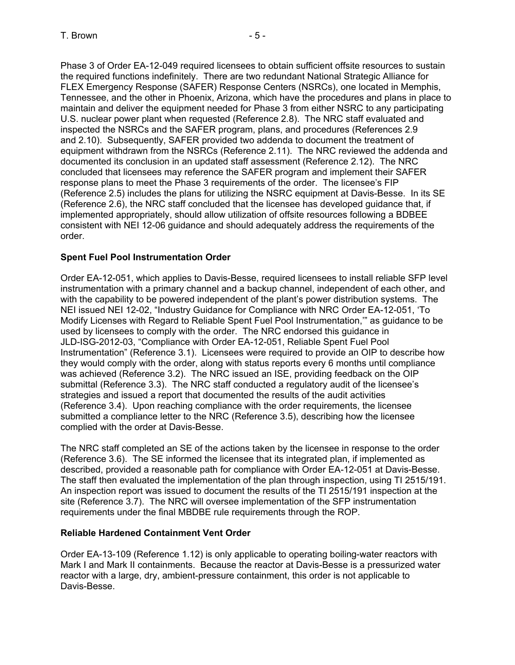Phase 3 of Order EA-12-049 required licensees to obtain sufficient offsite resources to sustain the required functions indefinitely. There are two redundant National Strategic Alliance for FLEX Emergency Response (SAFER) Response Centers (NSRCs), one located in Memphis, Tennessee, and the other in Phoenix, Arizona, which have the procedures and plans in place to maintain and deliver the equipment needed for Phase 3 from either NSRC to any participating U.S. nuclear power plant when requested (Reference 2.8). The NRC staff evaluated and inspected the NSRCs and the SAFER program, plans, and procedures (References 2.9 and 2.10). Subsequently, SAFER provided two addenda to document the treatment of equipment withdrawn from the NSRCs (Reference 2.11). The NRC reviewed the addenda and documented its conclusion in an updated staff assessment (Reference 2.12). The NRC concluded that licensees may reference the SAFER program and implement their SAFER response plans to meet the Phase 3 requirements of the order. The licensee's FIP (Reference 2.5) includes the plans for utilizing the NSRC equipment at Davis-Besse. In its SE (Reference 2.6), the NRC staff concluded that the licensee has developed guidance that, if implemented appropriately, should allow utilization of offsite resources following a BDBEE consistent with NEI 12-06 guidance and should adequately address the requirements of the order.

# **Spent Fuel Pool Instrumentation Order**

Order EA-12-051, which applies to Davis-Besse, required licensees to install reliable SFP level instrumentation with a primary channel and a backup channel, independent of each other, and with the capability to be powered independent of the plant's power distribution systems. The NEI issued NEI 12-02, "Industry Guidance for Compliance with NRC Order EA-12-051, 'To Modify Licenses with Regard to Reliable Spent Fuel Pool Instrumentation,'" as guidance to be used by licensees to comply with the order. The NRC endorsed this guidance in JLD-ISG-2012-03, "Compliance with Order EA-12-051, Reliable Spent Fuel Pool Instrumentation" (Reference 3.1). Licensees were required to provide an OIP to describe how they would comply with the order, along with status reports every 6 months until compliance was achieved (Reference 3.2). The NRC issued an ISE, providing feedback on the OIP submittal (Reference 3.3). The NRC staff conducted a regulatory audit of the licensee's strategies and issued a report that documented the results of the audit activities (Reference 3.4). Upon reaching compliance with the order requirements, the licensee submitted a compliance letter to the NRC (Reference 3.5), describing how the licensee complied with the order at Davis-Besse.

The NRC staff completed an SE of the actions taken by the licensee in response to the order (Reference 3.6). The SE informed the licensee that its integrated plan, if implemented as described, provided a reasonable path for compliance with Order EA-12-051 at Davis-Besse. The staff then evaluated the implementation of the plan through inspection, using TI 2515/191. An inspection report was issued to document the results of the TI 2515/191 inspection at the site (Reference 3.7). The NRC will oversee implementation of the SFP instrumentation requirements under the final MBDBE rule requirements through the ROP.

### **Reliable Hardened Containment Vent Order**

Order EA-13-109 (Reference 1.12) is only applicable to operating boiling-water reactors with Mark I and Mark II containments. Because the reactor at Davis-Besse is a pressurized water reactor with a large, dry, ambient-pressure containment, this order is not applicable to Davis-Besse.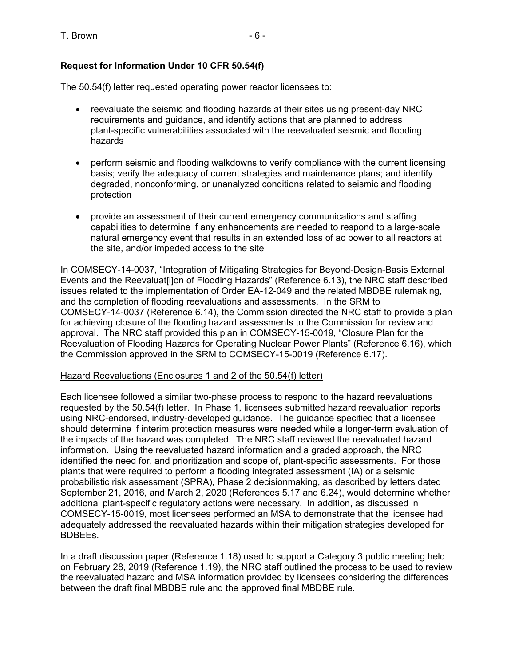# **Request for Information Under 10 CFR 50.54(f)**

The 50.54(f) letter requested operating power reactor licensees to:

- reevaluate the seismic and flooding hazards at their sites using present-day NRC requirements and guidance, and identify actions that are planned to address plant-specific vulnerabilities associated with the reevaluated seismic and flooding hazards
- perform seismic and flooding walkdowns to verify compliance with the current licensing basis; verify the adequacy of current strategies and maintenance plans; and identify degraded, nonconforming, or unanalyzed conditions related to seismic and flooding protection
- provide an assessment of their current emergency communications and staffing capabilities to determine if any enhancements are needed to respond to a large-scale natural emergency event that results in an extended loss of ac power to all reactors at the site, and/or impeded access to the site

In COMSECY-14-0037, "Integration of Mitigating Strategies for Beyond-Design-Basis External Events and the Reevaluat[i]on of Flooding Hazards" (Reference 6.13), the NRC staff described issues related to the implementation of Order EA-12-049 and the related MBDBE rulemaking, and the completion of flooding reevaluations and assessments. In the SRM to COMSECY-14-0037 (Reference 6.14), the Commission directed the NRC staff to provide a plan for achieving closure of the flooding hazard assessments to the Commission for review and approval. The NRC staff provided this plan in COMSECY-15-0019, "Closure Plan for the Reevaluation of Flooding Hazards for Operating Nuclear Power Plants" (Reference 6.16), which the Commission approved in the SRM to COMSECY-15-0019 (Reference 6.17).

### Hazard Reevaluations (Enclosures 1 and 2 of the 50.54(f) letter)

Each licensee followed a similar two-phase process to respond to the hazard reevaluations requested by the 50.54(f) letter. In Phase 1, licensees submitted hazard reevaluation reports using NRC-endorsed, industry-developed guidance. The guidance specified that a licensee should determine if interim protection measures were needed while a longer-term evaluation of the impacts of the hazard was completed. The NRC staff reviewed the reevaluated hazard information. Using the reevaluated hazard information and a graded approach, the NRC identified the need for, and prioritization and scope of, plant-specific assessments. For those plants that were required to perform a flooding integrated assessment (IA) or a seismic probabilistic risk assessment (SPRA), Phase 2 decisionmaking, as described by letters dated September 21, 2016, and March 2, 2020 (References 5.17 and 6.24), would determine whether additional plant-specific regulatory actions were necessary. In addition, as discussed in COMSECY-15-0019, most licensees performed an MSA to demonstrate that the licensee had adequately addressed the reevaluated hazards within their mitigation strategies developed for BDBEEs.

In a draft discussion paper (Reference 1.18) used to support a Category 3 public meeting held on February 28, 2019 (Reference 1.19), the NRC staff outlined the process to be used to review the reevaluated hazard and MSA information provided by licensees considering the differences between the draft final MBDBE rule and the approved final MBDBE rule.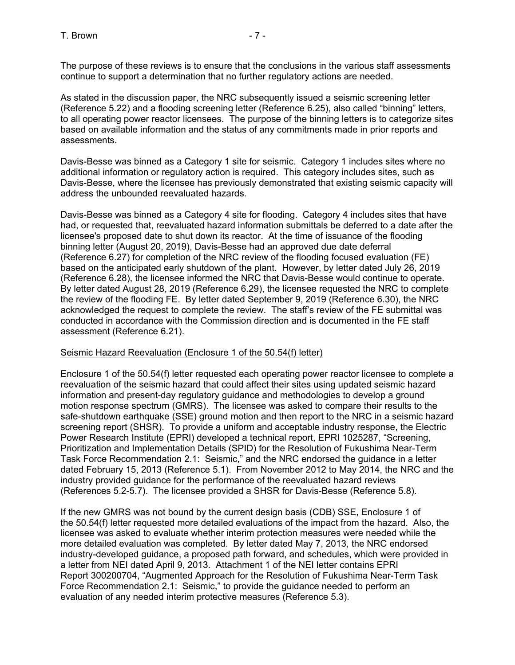The purpose of these reviews is to ensure that the conclusions in the various staff assessments continue to support a determination that no further regulatory actions are needed.

As stated in the discussion paper, the NRC subsequently issued a seismic screening letter (Reference 5.22) and a flooding screening letter (Reference 6.25), also called "binning" letters, to all operating power reactor licensees. The purpose of the binning letters is to categorize sites based on available information and the status of any commitments made in prior reports and assessments.

Davis-Besse was binned as a Category 1 site for seismic. Category 1 includes sites where no additional information or regulatory action is required. This category includes sites, such as Davis-Besse, where the licensee has previously demonstrated that existing seismic capacity will address the unbounded reevaluated hazards.

Davis-Besse was binned as a Category 4 site for flooding. Category 4 includes sites that have had, or requested that, reevaluated hazard information submittals be deferred to a date after the licensee's proposed date to shut down its reactor. At the time of issuance of the flooding binning letter (August 20, 2019), Davis-Besse had an approved due date deferral (Reference 6.27) for completion of the NRC review of the flooding focused evaluation (FE) based on the anticipated early shutdown of the plant. However, by letter dated July 26, 2019 (Reference 6.28), the licensee informed the NRC that Davis-Besse would continue to operate. By letter dated August 28, 2019 (Reference 6.29), the licensee requested the NRC to complete the review of the flooding FE. By letter dated September 9, 2019 (Reference 6.30), the NRC acknowledged the request to complete the review. The staff's review of the FE submittal was conducted in accordance with the Commission direction and is documented in the FE staff assessment (Reference 6.21).

# Seismic Hazard Reevaluation (Enclosure 1 of the 50.54(f) letter)

Enclosure 1 of the 50.54(f) letter requested each operating power reactor licensee to complete a reevaluation of the seismic hazard that could affect their sites using updated seismic hazard information and present-day regulatory guidance and methodologies to develop a ground motion response spectrum (GMRS). The licensee was asked to compare their results to the safe-shutdown earthquake (SSE) ground motion and then report to the NRC in a seismic hazard screening report (SHSR). To provide a uniform and acceptable industry response, the Electric Power Research Institute (EPRI) developed a technical report, EPRI 1025287, "Screening, Prioritization and Implementation Details (SPID) for the Resolution of Fukushima Near-Term Task Force Recommendation 2.1: Seismic," and the NRC endorsed the guidance in a letter dated February 15, 2013 (Reference 5.1). From November 2012 to May 2014, the NRC and the industry provided guidance for the performance of the reevaluated hazard reviews (References 5.2-5.7). The licensee provided a SHSR for Davis-Besse (Reference 5.8).

If the new GMRS was not bound by the current design basis (CDB) SSE, Enclosure 1 of the 50.54(f) letter requested more detailed evaluations of the impact from the hazard. Also, the licensee was asked to evaluate whether interim protection measures were needed while the more detailed evaluation was completed. By letter dated May 7, 2013, the NRC endorsed industry-developed guidance, a proposed path forward, and schedules, which were provided in a letter from NEI dated April 9, 2013. Attachment 1 of the NEI letter contains EPRI Report 300200704, "Augmented Approach for the Resolution of Fukushima Near-Term Task Force Recommendation 2.1: Seismic," to provide the guidance needed to perform an evaluation of any needed interim protective measures (Reference 5.3).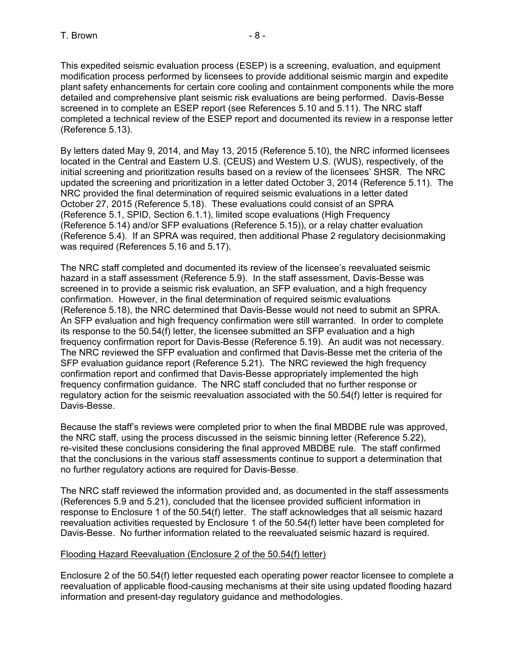This expedited seismic evaluation process (ESEP) is a screening, evaluation, and equipment modification process performed by licensees to provide additional seismic margin and expedite plant safety enhancements for certain core cooling and containment components while the more detailed and comprehensive plant seismic risk evaluations are being performed. Davis-Besse screened in to complete an ESEP report (see References 5.10 and 5.11). The NRC staff completed a technical review of the ESEP report and documented its review in a response letter (Reference 5.13).

By letters dated May 9, 2014, and May 13, 2015 (Reference 5.10), the NRC informed licensees located in the Central and Eastern U.S. (CEUS) and Western U.S. (WUS), respectively, of the initial screening and prioritization results based on a review of the licensees' SHSR. The NRC updated the screening and prioritization in a letter dated October 3, 2014 (Reference 5.11). The NRC provided the final determination of required seismic evaluations in a letter dated October 27, 2015 (Reference 5.18). These evaluations could consist of an SPRA (Reference 5.1, SPID, Section 6.1.1), limited scope evaluations (High Frequency (Reference 5.14) and/or SFP evaluations (Reference 5.15)), or a relay chatter evaluation (Reference 5.4). If an SPRA was required, then additional Phase 2 regulatory decisionmaking was required (References 5.16 and 5.17).

The NRC staff completed and documented its review of the licensee's reevaluated seismic hazard in a staff assessment (Reference 5.9). In the staff assessment, Davis-Besse was screened in to provide a seismic risk evaluation, an SFP evaluation, and a high frequency confirmation. However, in the final determination of required seismic evaluations (Reference 5.18), the NRC determined that Davis-Besse would not need to submit an SPRA. An SFP evaluation and high frequency confirmation were still warranted. In order to complete its response to the 50.54(f) letter, the licensee submitted an SFP evaluation and a high frequency confirmation report for Davis-Besse (Reference 5.19). An audit was not necessary. The NRC reviewed the SFP evaluation and confirmed that Davis-Besse met the criteria of the SFP evaluation guidance report (Reference 5.21). The NRC reviewed the high frequency confirmation report and confirmed that Davis-Besse appropriately implemented the high frequency confirmation guidance. The NRC staff concluded that no further response or regulatory action for the seismic reevaluation associated with the 50.54(f) letter is required for Davis-Besse.

Because the staff's reviews were completed prior to when the final MBDBE rule was approved, the NRC staff, using the process discussed in the seismic binning letter (Reference 5.22), re-visited these conclusions considering the final approved MBDBE rule. The staff confirmed that the conclusions in the various staff assessments continue to support a determination that no further regulatory actions are required for Davis-Besse.

The NRC staff reviewed the information provided and, as documented in the staff assessments (References 5.9 and 5.21), concluded that the licensee provided sufficient information in response to Enclosure 1 of the 50.54(f) letter. The staff acknowledges that all seismic hazard reevaluation activities requested by Enclosure 1 of the 50.54(f) letter have been completed for Davis-Besse. No further information related to the reevaluated seismic hazard is required.

### Flooding Hazard Reevaluation (Enclosure 2 of the 50.54(f) letter)

Enclosure 2 of the 50.54(f) letter requested each operating power reactor licensee to complete a reevaluation of applicable flood-causing mechanisms at their site using updated flooding hazard information and present-day regulatory guidance and methodologies.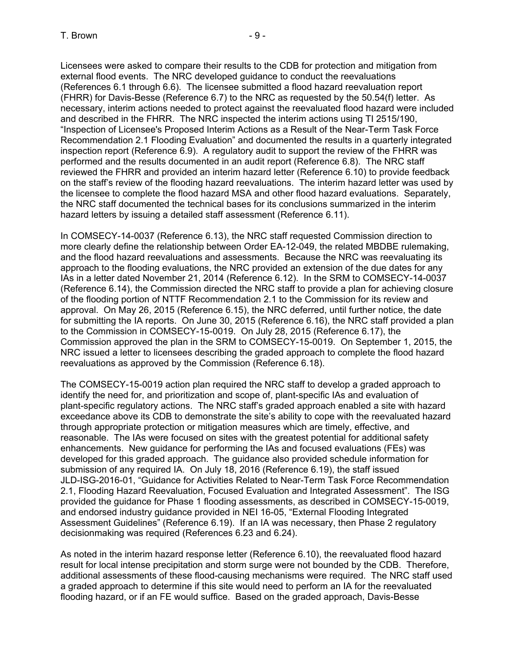Licensees were asked to compare their results to the CDB for protection and mitigation from external flood events. The NRC developed guidance to conduct the reevaluations (References 6.1 through 6.6). The licensee submitted a flood hazard reevaluation report (FHRR) for Davis-Besse (Reference 6.7) to the NRC as requested by the 50.54(f) letter. As necessary, interim actions needed to protect against the reevaluated flood hazard were included and described in the FHRR. The NRC inspected the interim actions using TI 2515/190, "Inspection of Licensee's Proposed Interim Actions as a Result of the Near-Term Task Force Recommendation 2.1 Flooding Evaluation" and documented the results in a quarterly integrated inspection report (Reference 6.9). A regulatory audit to support the review of the FHRR was performed and the results documented in an audit report (Reference 6.8). The NRC staff reviewed the FHRR and provided an interim hazard letter (Reference 6.10) to provide feedback on the staff's review of the flooding hazard reevaluations. The interim hazard letter was used by the licensee to complete the flood hazard MSA and other flood hazard evaluations. Separately, the NRC staff documented the technical bases for its conclusions summarized in the interim hazard letters by issuing a detailed staff assessment (Reference 6.11).

In COMSECY-14-0037 (Reference 6.13), the NRC staff requested Commission direction to more clearly define the relationship between Order EA-12-049, the related MBDBE rulemaking, and the flood hazard reevaluations and assessments. Because the NRC was reevaluating its approach to the flooding evaluations, the NRC provided an extension of the due dates for any IAs in a letter dated November 21, 2014 (Reference 6.12). In the SRM to COMSECY-14-0037 (Reference 6.14), the Commission directed the NRC staff to provide a plan for achieving closure of the flooding portion of NTTF Recommendation 2.1 to the Commission for its review and approval. On May 26, 2015 (Reference 6.15), the NRC deferred, until further notice, the date for submitting the IA reports. On June 30, 2015 (Reference 6.16), the NRC staff provided a plan to the Commission in COMSECY-15-0019. On July 28, 2015 (Reference 6.17), the Commission approved the plan in the SRM to COMSECY-15-0019. On September 1, 2015, the NRC issued a letter to licensees describing the graded approach to complete the flood hazard reevaluations as approved by the Commission (Reference 6.18).

The COMSECY-15-0019 action plan required the NRC staff to develop a graded approach to identify the need for, and prioritization and scope of, plant-specific IAs and evaluation of plant-specific regulatory actions. The NRC staff's graded approach enabled a site with hazard exceedance above its CDB to demonstrate the site's ability to cope with the reevaluated hazard through appropriate protection or mitigation measures which are timely, effective, and reasonable. The IAs were focused on sites with the greatest potential for additional safety enhancements. New guidance for performing the IAs and focused evaluations (FEs) was developed for this graded approach. The guidance also provided schedule information for submission of any required IA. On July 18, 2016 (Reference 6.19), the staff issued JLD-ISG-2016-01, "Guidance for Activities Related to Near-Term Task Force Recommendation 2.1, Flooding Hazard Reevaluation, Focused Evaluation and Integrated Assessment". The ISG provided the guidance for Phase 1 flooding assessments, as described in COMSECY-15-0019, and endorsed industry guidance provided in NEI 16-05, "External Flooding Integrated Assessment Guidelines" (Reference 6.19). If an IA was necessary, then Phase 2 regulatory decisionmaking was required (References 6.23 and 6.24).

As noted in the interim hazard response letter (Reference 6.10), the reevaluated flood hazard result for local intense precipitation and storm surge were not bounded by the CDB. Therefore, additional assessments of these flood-causing mechanisms were required. The NRC staff used a graded approach to determine if this site would need to perform an IA for the reevaluated flooding hazard, or if an FE would suffice. Based on the graded approach, Davis-Besse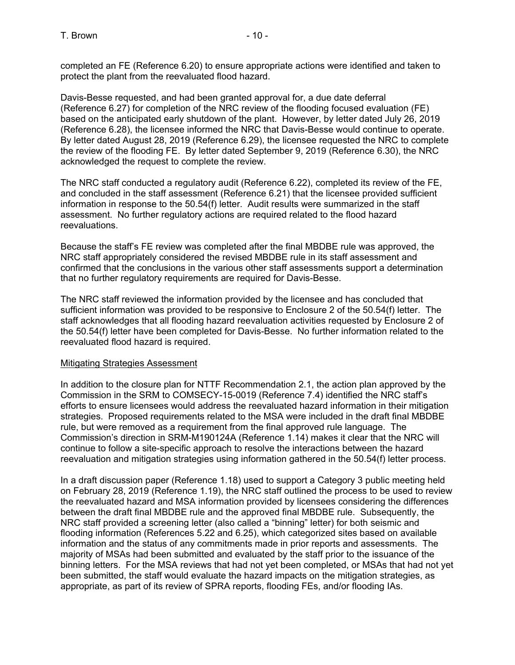completed an FE (Reference 6.20) to ensure appropriate actions were identified and taken to protect the plant from the reevaluated flood hazard.

Davis-Besse requested, and had been granted approval for, a due date deferral (Reference 6.27) for completion of the NRC review of the flooding focused evaluation (FE) based on the anticipated early shutdown of the plant. However, by letter dated July 26, 2019 (Reference 6.28), the licensee informed the NRC that Davis-Besse would continue to operate. By letter dated August 28, 2019 (Reference 6.29), the licensee requested the NRC to complete the review of the flooding FE. By letter dated September 9, 2019 (Reference 6.30), the NRC acknowledged the request to complete the review.

The NRC staff conducted a regulatory audit (Reference 6.22), completed its review of the FE, and concluded in the staff assessment (Reference 6.21) that the licensee provided sufficient information in response to the 50.54(f) letter. Audit results were summarized in the staff assessment. No further regulatory actions are required related to the flood hazard reevaluations.

Because the staff's FE review was completed after the final MBDBE rule was approved, the NRC staff appropriately considered the revised MBDBE rule in its staff assessment and confirmed that the conclusions in the various other staff assessments support a determination that no further regulatory requirements are required for Davis-Besse.

The NRC staff reviewed the information provided by the licensee and has concluded that sufficient information was provided to be responsive to Enclosure 2 of the 50.54(f) letter. The staff acknowledges that all flooding hazard reevaluation activities requested by Enclosure 2 of the 50.54(f) letter have been completed for Davis-Besse. No further information related to the reevaluated flood hazard is required.

### Mitigating Strategies Assessment

In addition to the closure plan for NTTF Recommendation 2.1, the action plan approved by the Commission in the SRM to COMSECY-15-0019 (Reference 7.4) identified the NRC staff's efforts to ensure licensees would address the reevaluated hazard information in their mitigation strategies. Proposed requirements related to the MSA were included in the draft final MBDBE rule, but were removed as a requirement from the final approved rule language. The Commission's direction in SRM-M190124A (Reference 1.14) makes it clear that the NRC will continue to follow a site-specific approach to resolve the interactions between the hazard reevaluation and mitigation strategies using information gathered in the 50.54(f) letter process.

In a draft discussion paper (Reference 1.18) used to support a Category 3 public meeting held on February 28, 2019 (Reference 1.19), the NRC staff outlined the process to be used to review the reevaluated hazard and MSA information provided by licensees considering the differences between the draft final MBDBE rule and the approved final MBDBE rule. Subsequently, the NRC staff provided a screening letter (also called a "binning" letter) for both seismic and flooding information (References 5.22 and 6.25), which categorized sites based on available information and the status of any commitments made in prior reports and assessments. The majority of MSAs had been submitted and evaluated by the staff prior to the issuance of the binning letters. For the MSA reviews that had not yet been completed, or MSAs that had not yet been submitted, the staff would evaluate the hazard impacts on the mitigation strategies, as appropriate, as part of its review of SPRA reports, flooding FEs, and/or flooding IAs.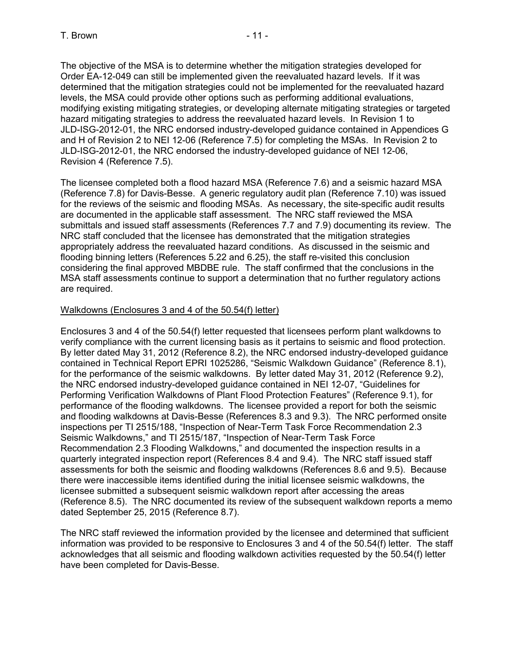The objective of the MSA is to determine whether the mitigation strategies developed for Order EA-12-049 can still be implemented given the reevaluated hazard levels. If it was determined that the mitigation strategies could not be implemented for the reevaluated hazard levels, the MSA could provide other options such as performing additional evaluations, modifying existing mitigating strategies, or developing alternate mitigating strategies or targeted hazard mitigating strategies to address the reevaluated hazard levels. In Revision 1 to JLD-ISG-2012-01, the NRC endorsed industry-developed guidance contained in Appendices G and H of Revision 2 to NEI 12-06 (Reference 7.5) for completing the MSAs. In Revision 2 to JLD-ISG-2012-01, the NRC endorsed the industry-developed guidance of NEI 12-06, Revision 4 (Reference 7.5).

The licensee completed both a flood hazard MSA (Reference 7.6) and a seismic hazard MSA (Reference 7.8) for Davis-Besse. A generic regulatory audit plan (Reference 7.10) was issued for the reviews of the seismic and flooding MSAs. As necessary, the site-specific audit results are documented in the applicable staff assessment. The NRC staff reviewed the MSA submittals and issued staff assessments (References 7.7 and 7.9) documenting its review. The NRC staff concluded that the licensee has demonstrated that the mitigation strategies appropriately address the reevaluated hazard conditions. As discussed in the seismic and flooding binning letters (References 5.22 and 6.25), the staff re-visited this conclusion considering the final approved MBDBE rule. The staff confirmed that the conclusions in the MSA staff assessments continue to support a determination that no further regulatory actions are required.

#### Walkdowns (Enclosures 3 and 4 of the 50.54(f) letter)

Enclosures 3 and 4 of the 50.54(f) letter requested that licensees perform plant walkdowns to verify compliance with the current licensing basis as it pertains to seismic and flood protection. By letter dated May 31, 2012 (Reference 8.2), the NRC endorsed industry-developed guidance contained in Technical Report EPRI 1025286, "Seismic Walkdown Guidance" (Reference 8.1), for the performance of the seismic walkdowns. By letter dated May 31, 2012 (Reference 9.2), the NRC endorsed industry-developed guidance contained in NEI 12-07, "Guidelines for Performing Verification Walkdowns of Plant Flood Protection Features" (Reference 9.1), for performance of the flooding walkdowns. The licensee provided a report for both the seismic and flooding walkdowns at Davis-Besse (References 8.3 and 9.3). The NRC performed onsite inspections per TI 2515/188, "Inspection of Near-Term Task Force Recommendation 2.3 Seismic Walkdowns," and TI 2515/187, "Inspection of Near-Term Task Force Recommendation 2.3 Flooding Walkdowns," and documented the inspection results in a quarterly integrated inspection report (References 8.4 and 9.4). The NRC staff issued staff assessments for both the seismic and flooding walkdowns (References 8.6 and 9.5). Because there were inaccessible items identified during the initial licensee seismic walkdowns, the licensee submitted a subsequent seismic walkdown report after accessing the areas (Reference 8.5). The NRC documented its review of the subsequent walkdown reports a memo dated September 25, 2015 (Reference 8.7).

The NRC staff reviewed the information provided by the licensee and determined that sufficient information was provided to be responsive to Enclosures 3 and 4 of the 50.54(f) letter. The staff acknowledges that all seismic and flooding walkdown activities requested by the 50.54(f) letter have been completed for Davis-Besse.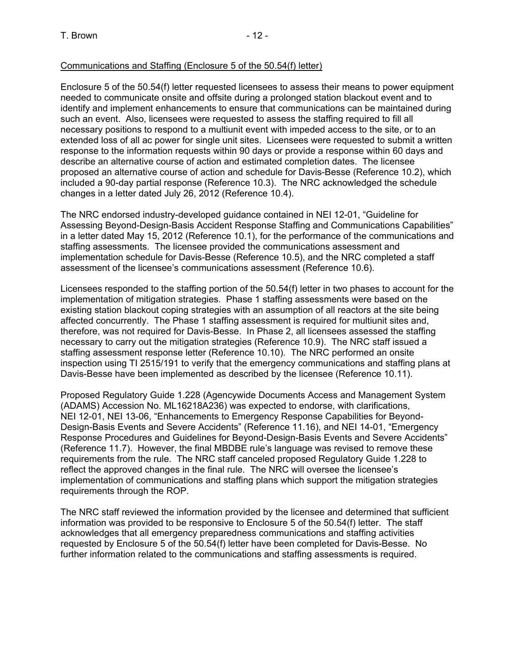### Communications and Staffing (Enclosure 5 of the 50.54(f) letter)

Enclosure 5 of the 50.54(f) letter requested licensees to assess their means to power equipment needed to communicate onsite and offsite during a prolonged station blackout event and to identify and implement enhancements to ensure that communications can be maintained during such an event. Also, licensees were requested to assess the staffing required to fill all necessary positions to respond to a multiunit event with impeded access to the site, or to an extended loss of all ac power for single unit sites. Licensees were requested to submit a written response to the information requests within 90 days or provide a response within 60 days and describe an alternative course of action and estimated completion dates. The licensee proposed an alternative course of action and schedule for Davis-Besse (Reference 10.2), which included a 90-day partial response (Reference 10.3). The NRC acknowledged the schedule changes in a letter dated July 26, 2012 (Reference 10.4).

The NRC endorsed industry-developed guidance contained in NEI 12-01, "Guideline for Assessing Beyond-Design-Basis Accident Response Staffing and Communications Capabilities" in a letter dated May 15, 2012 (Reference 10.1), for the performance of the communications and staffing assessments. The licensee provided the communications assessment and implementation schedule for Davis-Besse (Reference 10.5), and the NRC completed a staff assessment of the licensee's communications assessment (Reference 10.6).

Licensees responded to the staffing portion of the 50.54(f) letter in two phases to account for the implementation of mitigation strategies. Phase 1 staffing assessments were based on the existing station blackout coping strategies with an assumption of all reactors at the site being affected concurrently. The Phase 1 staffing assessment is required for multiunit sites and, therefore, was not required for Davis-Besse. In Phase 2, all licensees assessed the staffing necessary to carry out the mitigation strategies (Reference 10.9). The NRC staff issued a staffing assessment response letter (Reference 10.10). The NRC performed an onsite inspection using TI 2515/191 to verify that the emergency communications and staffing plans at Davis-Besse have been implemented as described by the licensee (Reference 10.11).

Proposed Regulatory Guide 1.228 (Agencywide Documents Access and Management System (ADAMS) Accession No. ML16218A236) was expected to endorse, with clarifications, NEI 12-01, NEI 13-06, "Enhancements to Emergency Response Capabilities for Beyond-Design-Basis Events and Severe Accidents" (Reference 11.16), and NEI 14-01, "Emergency Response Procedures and Guidelines for Beyond-Design-Basis Events and Severe Accidents" (Reference 11.7). However, the final MBDBE rule's language was revised to remove these requirements from the rule. The NRC staff canceled proposed Regulatory Guide 1.228 to reflect the approved changes in the final rule. The NRC will oversee the licensee's implementation of communications and staffing plans which support the mitigation strategies requirements through the ROP.

The NRC staff reviewed the information provided by the licensee and determined that sufficient information was provided to be responsive to Enclosure 5 of the 50.54(f) letter. The staff acknowledges that all emergency preparedness communications and staffing activities requested by Enclosure 5 of the 50.54(f) letter have been completed for Davis-Besse. No further information related to the communications and staffing assessments is required.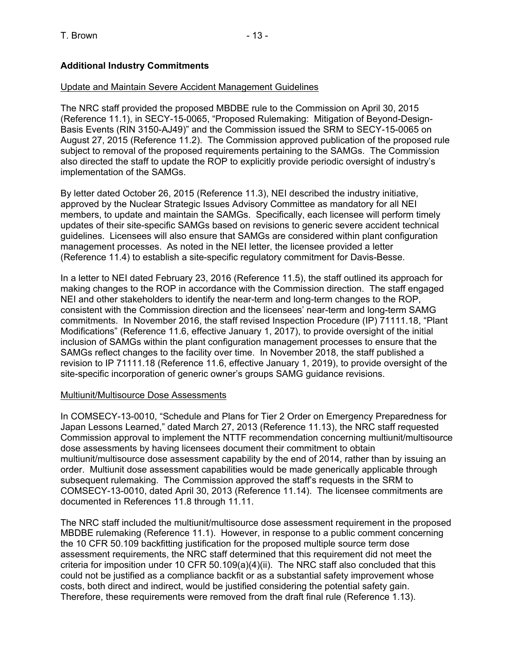# **Additional Industry Commitments**

### Update and Maintain Severe Accident Management Guidelines

The NRC staff provided the proposed MBDBE rule to the Commission on April 30, 2015 (Reference 11.1), in SECY-15-0065, "Proposed Rulemaking: Mitigation of Beyond-Design-Basis Events (RIN 3150-AJ49)" and the Commission issued the SRM to SECY-15-0065 on August 27, 2015 (Reference 11.2). The Commission approved publication of the proposed rule subject to removal of the proposed requirements pertaining to the SAMGs. The Commission also directed the staff to update the ROP to explicitly provide periodic oversight of industry's implementation of the SAMGs.

By letter dated October 26, 2015 (Reference 11.3), NEI described the industry initiative, approved by the Nuclear Strategic Issues Advisory Committee as mandatory for all NEI members, to update and maintain the SAMGs. Specifically, each licensee will perform timely updates of their site-specific SAMGs based on revisions to generic severe accident technical guidelines. Licensees will also ensure that SAMGs are considered within plant configuration management processes. As noted in the NEI letter, the licensee provided a letter (Reference 11.4) to establish a site-specific regulatory commitment for Davis-Besse.

In a letter to NEI dated February 23, 2016 (Reference 11.5), the staff outlined its approach for making changes to the ROP in accordance with the Commission direction. The staff engaged NEI and other stakeholders to identify the near-term and long-term changes to the ROP, consistent with the Commission direction and the licensees' near-term and long-term SAMG commitments. In November 2016, the staff revised Inspection Procedure (IP) 71111.18, "Plant Modifications" (Reference 11.6, effective January 1, 2017), to provide oversight of the initial inclusion of SAMGs within the plant configuration management processes to ensure that the SAMGs reflect changes to the facility over time. In November 2018, the staff published a revision to IP 71111.18 (Reference 11.6, effective January 1, 2019), to provide oversight of the site-specific incorporation of generic owner's groups SAMG guidance revisions.

### Multiunit/Multisource Dose Assessments

In COMSECY-13-0010, "Schedule and Plans for Tier 2 Order on Emergency Preparedness for Japan Lessons Learned," dated March 27, 2013 (Reference 11.13), the NRC staff requested Commission approval to implement the NTTF recommendation concerning multiunit/multisource dose assessments by having licensees document their commitment to obtain multiunit/multisource dose assessment capability by the end of 2014, rather than by issuing an order. Multiunit dose assessment capabilities would be made generically applicable through subsequent rulemaking. The Commission approved the staff's requests in the SRM to COMSECY-13-0010, dated April 30, 2013 (Reference 11.14). The licensee commitments are documented in References 11.8 through 11.11.

The NRC staff included the multiunit/multisource dose assessment requirement in the proposed MBDBE rulemaking (Reference 11.1). However, in response to a public comment concerning the 10 CFR 50.109 backfitting justification for the proposed multiple source term dose assessment requirements, the NRC staff determined that this requirement did not meet the criteria for imposition under 10 CFR 50.109(a)(4)(ii). The NRC staff also concluded that this could not be justified as a compliance backfit or as a substantial safety improvement whose costs, both direct and indirect, would be justified considering the potential safety gain. Therefore, these requirements were removed from the draft final rule (Reference 1.13).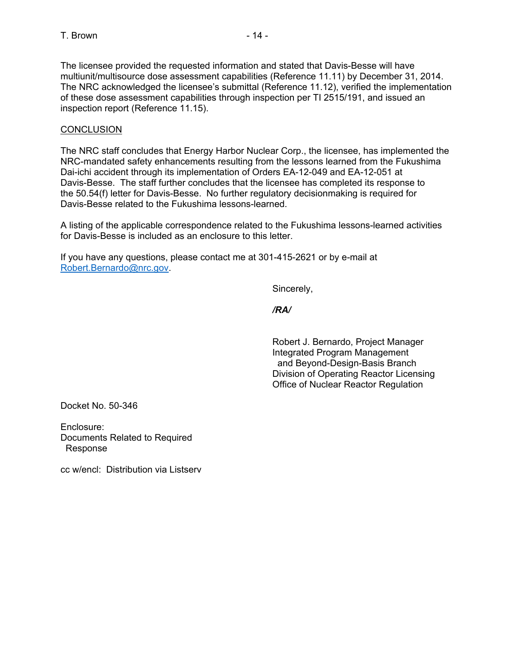The licensee provided the requested information and stated that Davis-Besse will have multiunit/multisource dose assessment capabilities (Reference 11.11) by December 31, 2014. The NRC acknowledged the licensee's submittal (Reference 11.12), verified the implementation of these dose assessment capabilities through inspection per TI 2515/191, and issued an inspection report (Reference 11.15).

# **CONCLUSION**

The NRC staff concludes that Energy Harbor Nuclear Corp., the licensee, has implemented the NRC-mandated safety enhancements resulting from the lessons learned from the Fukushima Dai-ichi accident through its implementation of Orders EA-12-049 and EA-12-051 at Davis-Besse. The staff further concludes that the licensee has completed its response to the 50.54(f) letter for Davis-Besse. No further regulatory decisionmaking is required for Davis-Besse related to the Fukushima lessons-learned.

A listing of the applicable correspondence related to the Fukushima lessons-learned activities for Davis-Besse is included as an enclosure to this letter.

If you have any questions, please contact me at 301-415-2621 or by e-mail at Robert.Bernardo@nrc.gov.

Sincerely,

*/RA/* 

 Robert J. Bernardo, Project Manager Integrated Program Management and Beyond-Design-Basis Branch Division of Operating Reactor Licensing Office of Nuclear Reactor Regulation

Docket No. 50-346

Enclosure: Documents Related to Required Response

cc w/encl: Distribution via Listserv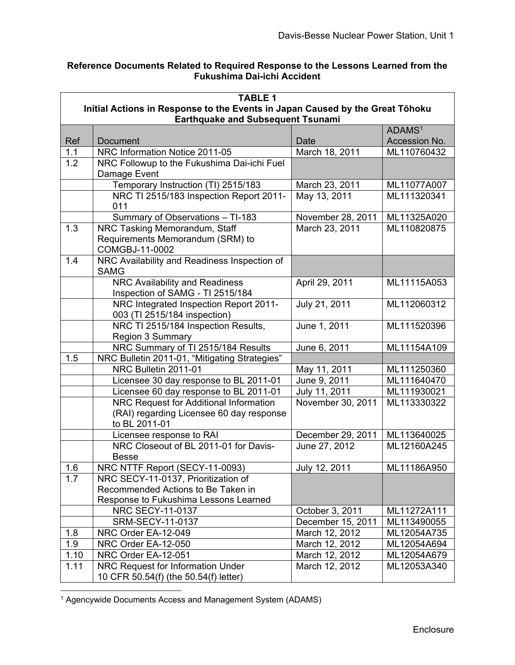### **Reference Documents Related to Required Response to the Lessons Learned from the Fukushima Dai-ichi Accident**

| <b>TABLE 1</b>                                                                |                                                                           |                   |                    |
|-------------------------------------------------------------------------------|---------------------------------------------------------------------------|-------------------|--------------------|
| Initial Actions in Response to the Events in Japan Caused by the Great Tōhoku |                                                                           |                   |                    |
|                                                                               | <b>Earthquake and Subsequent Tsunami</b>                                  |                   |                    |
|                                                                               |                                                                           |                   | ADAMS <sup>1</sup> |
| Ref                                                                           | Document                                                                  | Date              | Accession No.      |
| 1.1                                                                           | NRC Information Notice 2011-05                                            | March 18, 2011    | ML110760432        |
| 1.2                                                                           | NRC Followup to the Fukushima Dai-ichi Fuel                               |                   |                    |
|                                                                               | Damage Event                                                              |                   |                    |
|                                                                               | Temporary Instruction (TI) 2515/183                                       | March 23, 2011    | ML11077A007        |
|                                                                               | NRC TI 2515/183 Inspection Report 2011-                                   | May 13, 2011      | ML111320341        |
|                                                                               | 011                                                                       |                   |                    |
|                                                                               | Summary of Observations - TI-183                                          | November 28, 2011 | ML11325A020        |
| 1.3                                                                           | NRC Tasking Memorandum, Staff                                             | March 23, 2011    | ML110820875        |
|                                                                               | Requirements Memorandum (SRM) to                                          |                   |                    |
|                                                                               | COMGBJ-11-0002                                                            |                   |                    |
| 1.4                                                                           | NRC Availability and Readiness Inspection of                              |                   |                    |
|                                                                               | <b>SAMG</b>                                                               |                   |                    |
|                                                                               | NRC Availability and Readiness                                            | April 29, 2011    | ML11115A053        |
|                                                                               | Inspection of SAMG - TI 2515/184                                          |                   |                    |
|                                                                               | NRC Integrated Inspection Report 2011-                                    | July 21, 2011     | ML112060312        |
|                                                                               | 003 (TI 2515/184 inspection)                                              |                   |                    |
|                                                                               | NRC TI 2515/184 Inspection Results,                                       | June 1, 2011      | ML111520396        |
|                                                                               | Region 3 Summary                                                          |                   |                    |
|                                                                               | NRC Summary of TI 2515/184 Results                                        | June 6, 2011      | ML11154A109        |
| 1.5                                                                           | NRC Bulletin 2011-01, "Mitigating Strategies"                             |                   |                    |
|                                                                               | NRC Bulletin 2011-01                                                      | May 11, 2011      | ML111250360        |
|                                                                               | Licensee 30 day response to BL 2011-01                                    | June 9, 2011      | ML111640470        |
|                                                                               | Licensee 60 day response to BL 2011-01                                    | July 11, 2011     | ML111930021        |
|                                                                               | NRC Request for Additional Information                                    | November 30, 2011 | ML113330322        |
|                                                                               | (RAI) regarding Licensee 60 day response                                  |                   |                    |
|                                                                               | to BL 2011-01                                                             |                   |                    |
|                                                                               | Licensee response to RAI                                                  | December 29, 2011 | ML113640025        |
|                                                                               | NRC Closeout of BL 2011-01 for Davis-                                     | June 27, 2012     | ML12160A245        |
|                                                                               | <b>Besse</b>                                                              |                   |                    |
| 1.6                                                                           | NRC NTTF Report (SECY-11-0093)                                            | July 12, 2011     | ML11186A950        |
| 1.7                                                                           | NRC SECY-11-0137, Prioritization of<br>Recommended Actions to Be Taken in |                   |                    |
|                                                                               |                                                                           |                   |                    |
|                                                                               | Response to Fukushima Lessons Learned                                     |                   |                    |
|                                                                               | NRC SECY-11-0137                                                          | October 3, 2011   | ML11272A111        |
|                                                                               | SRM-SECY-11-0137                                                          | December 15, 2011 | ML113490055        |
| 1.8                                                                           | NRC Order EA-12-049                                                       | March 12, 2012    | ML12054A735        |
| 1.9                                                                           | NRC Order EA-12-050                                                       | March 12, 2012    | ML12054A694        |
| 1.10                                                                          | NRC Order EA-12-051                                                       | March 12, 2012    | ML12054A679        |
| 1.11                                                                          | NRC Request for Information Under                                         | March 12, 2012    | ML12053A340        |
|                                                                               | 10 CFR 50.54(f) (the 50.54(f) letter)                                     |                   |                    |

<sup>1</sup> Agencywide Documents Access and Management System (ADAMS)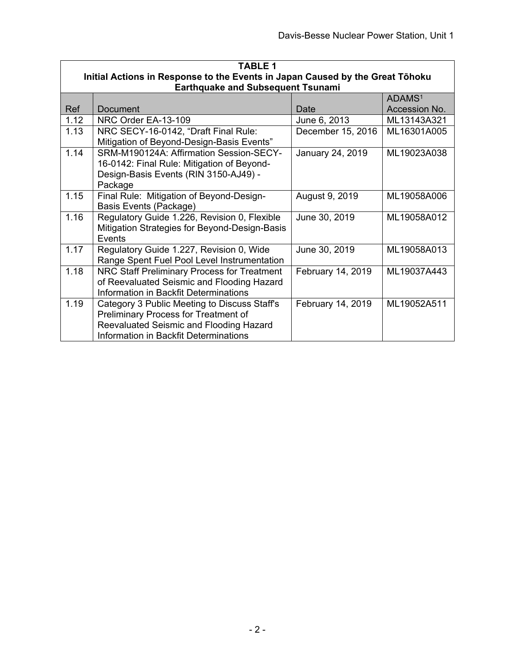| <b>TABLE 1</b> |                                                                                                                                                                          |                   |                    |
|----------------|--------------------------------------------------------------------------------------------------------------------------------------------------------------------------|-------------------|--------------------|
|                | Initial Actions in Response to the Events in Japan Caused by the Great Tōhoku<br><b>Earthquake and Subsequent Tsunami</b>                                                |                   |                    |
|                |                                                                                                                                                                          |                   | ADAMS <sup>1</sup> |
| Ref            | <b>Document</b>                                                                                                                                                          | Date              | Accession No.      |
| 1.12           | NRC Order EA-13-109                                                                                                                                                      | June 6, 2013      | ML13143A321        |
| 1.13           | NRC SECY-16-0142, "Draft Final Rule:<br>Mitigation of Beyond-Design-Basis Events"                                                                                        | December 15, 2016 | ML16301A005        |
| 1.14           | SRM-M190124A: Affirmation Session-SECY-<br>16-0142: Final Rule: Mitigation of Beyond-<br>Design-Basis Events (RIN 3150-AJ49) -<br>Package                                | January 24, 2019  | ML19023A038        |
| 1.15           | Final Rule: Mitigation of Beyond-Design-<br><b>Basis Events (Package)</b>                                                                                                | August 9, 2019    | ML19058A006        |
| 1.16           | Regulatory Guide 1.226, Revision 0, Flexible<br>Mitigation Strategies for Beyond-Design-Basis<br>Events                                                                  | June 30, 2019     | ML19058A012        |
| 1.17           | Regulatory Guide 1.227, Revision 0, Wide<br>Range Spent Fuel Pool Level Instrumentation                                                                                  | June 30, 2019     | ML19058A013        |
| 1.18           | NRC Staff Preliminary Process for Treatment<br>of Reevaluated Seismic and Flooding Hazard<br>Information in Backfit Determinations                                       | February 14, 2019 | ML19037A443        |
| 1.19           | Category 3 Public Meeting to Discuss Staff's<br>Preliminary Process for Treatment of<br>Reevaluated Seismic and Flooding Hazard<br>Information in Backfit Determinations | February 14, 2019 | ML19052A511        |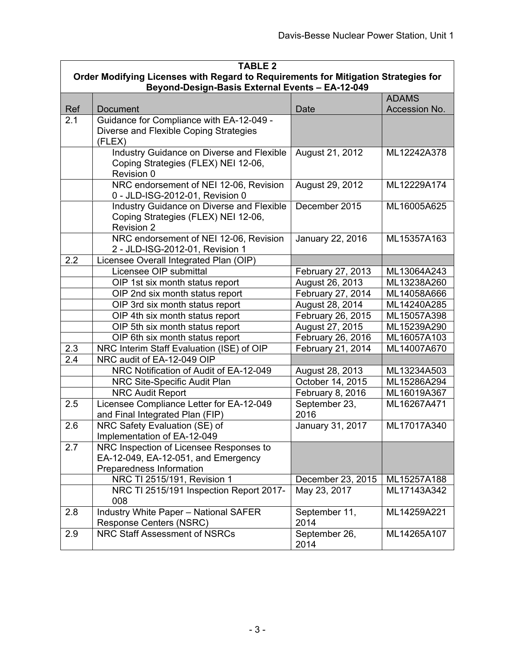| <b>TABLE 2</b> |                                                                                    |                   |               |  |
|----------------|------------------------------------------------------------------------------------|-------------------|---------------|--|
|                | Order Modifying Licenses with Regard to Requirements for Mitigation Strategies for |                   |               |  |
|                | Beyond-Design-Basis External Events - EA-12-049                                    |                   |               |  |
|                |                                                                                    |                   | <b>ADAMS</b>  |  |
| Ref            | Document                                                                           | Date              | Accession No. |  |
| 2.1            | Guidance for Compliance with EA-12-049 -<br>Diverse and Flexible Coping Strategies |                   |               |  |
|                | (FLEX)                                                                             |                   |               |  |
|                | Industry Guidance on Diverse and Flexible                                          | August 21, 2012   | ML12242A378   |  |
|                | Coping Strategies (FLEX) NEI 12-06,                                                |                   |               |  |
|                | Revision 0                                                                         |                   |               |  |
|                | NRC endorsement of NEI 12-06, Revision                                             | August 29, 2012   | ML12229A174   |  |
|                | 0 - JLD-ISG-2012-01, Revision 0                                                    |                   |               |  |
|                | Industry Guidance on Diverse and Flexible                                          | December 2015     | ML16005A625   |  |
|                | Coping Strategies (FLEX) NEI 12-06,                                                |                   |               |  |
|                | <b>Revision 2</b>                                                                  |                   |               |  |
|                | NRC endorsement of NEI 12-06, Revision                                             | January 22, 2016  | ML15357A163   |  |
|                | 2 - JLD-ISG-2012-01, Revision 1                                                    |                   |               |  |
| 2.2            | Licensee Overall Integrated Plan (OIP)                                             |                   |               |  |
|                | Licensee OIP submittal                                                             | February 27, 2013 | ML13064A243   |  |
|                | OIP 1st six month status report                                                    | August 26, 2013   | ML13238A260   |  |
|                | OIP 2nd six month status report                                                    | February 27, 2014 | ML14058A666   |  |
|                | OIP 3rd six month status report                                                    | August 28, 2014   | ML14240A285   |  |
|                | OIP 4th six month status report                                                    | February 26, 2015 | ML15057A398   |  |
|                | OIP 5th six month status report                                                    | August 27, 2015   | ML15239A290   |  |
|                | OIP 6th six month status report                                                    | February 26, 2016 | ML16057A103   |  |
| 2.3            | NRC Interim Staff Evaluation (ISE) of OIP                                          | February 21, 2014 | ML14007A670   |  |
| 2.4            | NRC audit of EA-12-049 OIP                                                         |                   |               |  |
|                | NRC Notification of Audit of EA-12-049                                             | August 28, 2013   | ML13234A503   |  |
|                | NRC Site-Specific Audit Plan                                                       | October 14, 2015  | ML15286A294   |  |
|                | <b>NRC Audit Report</b>                                                            | February 8, 2016  | ML16019A367   |  |
| 2.5            | Licensee Compliance Letter for EA-12-049                                           | September 23,     | ML16267A471   |  |
|                | and Final Integrated Plan (FIP)                                                    | 2016              |               |  |
| 2.6            | NRC Safety Evaluation (SE) of                                                      | January 31, 2017  | ML17017A340   |  |
|                | Implementation of EA-12-049                                                        |                   |               |  |
| 2.7            | NRC Inspection of Licensee Responses to                                            |                   |               |  |
|                | EA-12-049, EA-12-051, and Emergency<br>Preparedness Information                    |                   |               |  |
|                | NRC TI 2515/191, Revision 1                                                        | December 23, 2015 | ML15257A188   |  |
|                | NRC TI 2515/191 Inspection Report 2017-                                            | May 23, 2017      | ML17143A342   |  |
|                | 008                                                                                |                   |               |  |
| 2.8            | <b>Industry White Paper - National SAFER</b>                                       | September 11,     | ML14259A221   |  |
|                | <b>Response Centers (NSRC)</b>                                                     | 2014              |               |  |
| 2.9            | <b>NRC Staff Assessment of NSRCs</b>                                               | September 26,     | ML14265A107   |  |
|                |                                                                                    | 2014              |               |  |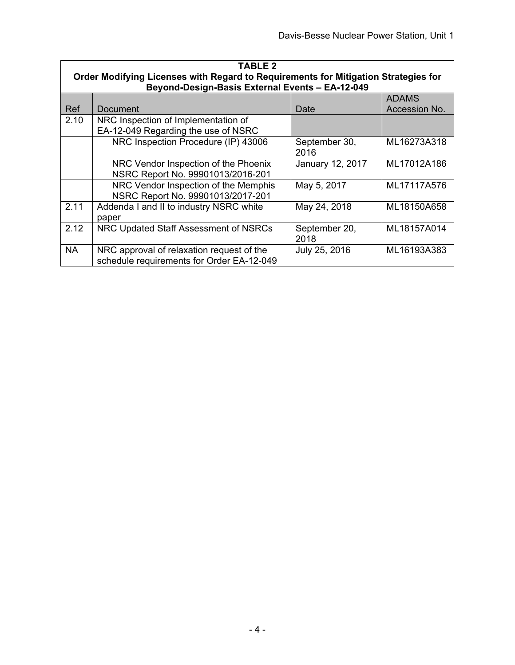| <b>TABLE 2</b><br>Order Modifying Licenses with Regard to Requirements for Mitigation Strategies for<br>Beyond-Design-Basis External Events - EA-12-049 |                                                                                        |                         |               |
|---------------------------------------------------------------------------------------------------------------------------------------------------------|----------------------------------------------------------------------------------------|-------------------------|---------------|
|                                                                                                                                                         |                                                                                        |                         | <b>ADAMS</b>  |
| Ref                                                                                                                                                     | Document                                                                               | Date                    | Accession No. |
| 2.10                                                                                                                                                    | NRC Inspection of Implementation of                                                    |                         |               |
|                                                                                                                                                         | EA-12-049 Regarding the use of NSRC                                                    |                         |               |
|                                                                                                                                                         | NRC Inspection Procedure (IP) 43006                                                    | September 30,<br>2016   | ML16273A318   |
|                                                                                                                                                         | NRC Vendor Inspection of the Phoenix<br>NSRC Report No. 99901013/2016-201              | <b>January 12, 2017</b> | ML17012A186   |
|                                                                                                                                                         | NRC Vendor Inspection of the Memphis<br>NSRC Report No. 99901013/2017-201              | May 5, 2017             | ML17117A576   |
| 2.11                                                                                                                                                    | Addenda I and II to industry NSRC white<br>paper                                       | May 24, 2018            | ML18150A658   |
| 2.12                                                                                                                                                    | NRC Updated Staff Assessment of NSRCs                                                  | September 20,<br>2018   | ML18157A014   |
| <b>NA</b>                                                                                                                                               | NRC approval of relaxation request of the<br>schedule requirements for Order EA-12-049 | July 25, 2016           | ML16193A383   |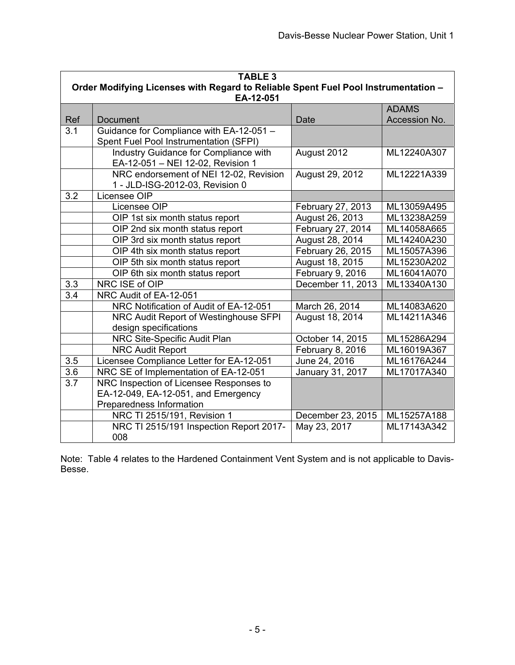|     | <b>TABLE 3</b>                                                                     |                   |               |  |
|-----|------------------------------------------------------------------------------------|-------------------|---------------|--|
|     | Order Modifying Licenses with Regard to Reliable Spent Fuel Pool Instrumentation - |                   |               |  |
|     | EA-12-051                                                                          |                   | <b>ADAMS</b>  |  |
| Ref | <b>Document</b>                                                                    | <b>Date</b>       | Accession No. |  |
| 3.1 | Guidance for Compliance with EA-12-051 -                                           |                   |               |  |
|     | Spent Fuel Pool Instrumentation (SFPI)                                             |                   |               |  |
|     | Industry Guidance for Compliance with                                              | August 2012       | ML12240A307   |  |
|     | EA-12-051 - NEI 12-02, Revision 1                                                  |                   |               |  |
|     | NRC endorsement of NEI 12-02, Revision                                             | August 29, 2012   | ML12221A339   |  |
|     | 1 - JLD-ISG-2012-03, Revision 0                                                    |                   |               |  |
| 3.2 | Licensee OIP                                                                       |                   |               |  |
|     | Licensee OIP                                                                       | February 27, 2013 | ML13059A495   |  |
|     | OIP 1st six month status report                                                    | August 26, 2013   | ML13238A259   |  |
|     | OIP 2nd six month status report                                                    | February 27, 2014 | ML14058A665   |  |
|     | OIP 3rd six month status report                                                    | August 28, 2014   | ML14240A230   |  |
|     | OIP 4th six month status report                                                    | February 26, 2015 | ML15057A396   |  |
|     | OIP 5th six month status report                                                    | August 18, 2015   | ML15230A202   |  |
|     | OIP 6th six month status report                                                    | February 9, 2016  | ML16041A070   |  |
| 3.3 | NRC ISE of OIP                                                                     | December 11, 2013 | ML13340A130   |  |
| 3.4 | NRC Audit of EA-12-051                                                             |                   |               |  |
|     | NRC Notification of Audit of EA-12-051                                             | March 26, 2014    | ML14083A620   |  |
|     | NRC Audit Report of Westinghouse SFPI                                              | August 18, 2014   | ML14211A346   |  |
|     | design specifications                                                              |                   |               |  |
|     | NRC Site-Specific Audit Plan                                                       | October 14, 2015  | ML15286A294   |  |
|     | <b>NRC Audit Report</b>                                                            | February 8, 2016  | ML16019A367   |  |
| 3.5 | Licensee Compliance Letter for EA-12-051                                           | June 24, 2016     | ML16176A244   |  |
| 3.6 | NRC SE of Implementation of EA-12-051                                              | January 31, 2017  | ML17017A340   |  |
| 3.7 | NRC Inspection of Licensee Responses to                                            |                   |               |  |
|     | EA-12-049, EA-12-051, and Emergency                                                |                   |               |  |
|     | Preparedness Information                                                           |                   |               |  |
|     | NRC TI 2515/191, Revision 1                                                        | December 23, 2015 | ML15257A188   |  |
|     | NRC TI 2515/191 Inspection Report 2017-                                            | May 23, 2017      | ML17143A342   |  |
|     | 008                                                                                |                   |               |  |

Note: Table 4 relates to the Hardened Containment Vent System and is not applicable to Davis-Besse.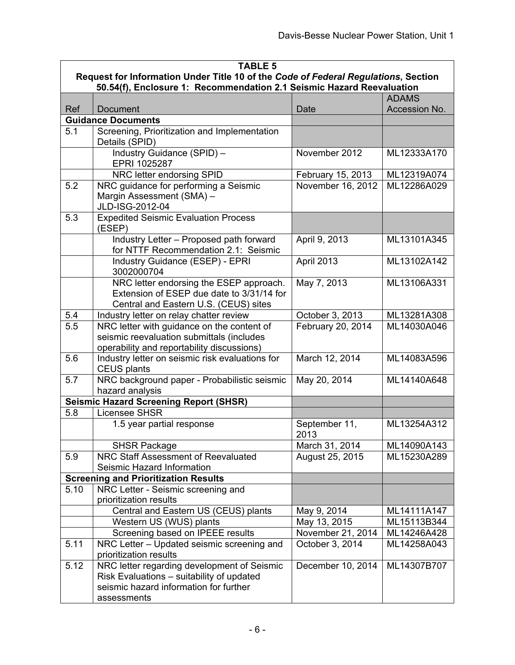| <b>TABLE 5</b>                                                                                                                                              |                                                                                                                                                   |                                   |               |
|-------------------------------------------------------------------------------------------------------------------------------------------------------------|---------------------------------------------------------------------------------------------------------------------------------------------------|-----------------------------------|---------------|
| Request for Information Under Title 10 of the Code of Federal Regulations, Section<br>50.54(f), Enclosure 1: Recommendation 2.1 Seismic Hazard Reevaluation |                                                                                                                                                   |                                   |               |
|                                                                                                                                                             |                                                                                                                                                   |                                   | <b>ADAMS</b>  |
| Ref                                                                                                                                                         | <b>Document</b>                                                                                                                                   | Date                              | Accession No. |
|                                                                                                                                                             | <b>Guidance Documents</b>                                                                                                                         |                                   |               |
| 5.1                                                                                                                                                         | Screening, Prioritization and Implementation<br>Details (SPID)                                                                                    |                                   |               |
|                                                                                                                                                             | Industry Guidance (SPID) -<br>EPRI 1025287                                                                                                        | November 2012                     | ML12333A170   |
|                                                                                                                                                             | NRC letter endorsing SPID                                                                                                                         | February 15, 2013                 | ML12319A074   |
| 5.2                                                                                                                                                         | NRC guidance for performing a Seismic<br>Margin Assessment (SMA) -<br>JLD-ISG-2012-04                                                             | November 16, 2012                 | ML12286A029   |
| 5.3                                                                                                                                                         | <b>Expedited Seismic Evaluation Process</b><br>(ESEP)                                                                                             |                                   |               |
|                                                                                                                                                             | Industry Letter - Proposed path forward<br>for NTTF Recommendation 2.1: Seismic                                                                   | April 9, 2013                     | ML13101A345   |
|                                                                                                                                                             | Industry Guidance (ESEP) - EPRI<br>3002000704                                                                                                     | April 2013                        | ML13102A142   |
|                                                                                                                                                             | NRC letter endorsing the ESEP approach.<br>Extension of ESEP due date to 3/31/14 for<br>Central and Eastern U.S. (CEUS) sites                     | May 7, 2013                       | ML13106A331   |
| 5.4                                                                                                                                                         | Industry letter on relay chatter review                                                                                                           | October 3, 2013                   | ML13281A308   |
| $\overline{5.5}$                                                                                                                                            | NRC letter with guidance on the content of<br>seismic reevaluation submittals (includes<br>operability and reportability discussions)             | February 20, 2014                 | ML14030A046   |
| 5.6                                                                                                                                                         | Industry letter on seismic risk evaluations for<br><b>CEUS plants</b>                                                                             | March 12, 2014                    | ML14083A596   |
| 5.7                                                                                                                                                         | NRC background paper - Probabilistic seismic<br>hazard analysis                                                                                   | May 20, 2014                      | ML14140A648   |
|                                                                                                                                                             | <b>Seismic Hazard Screening Report (SHSR)</b>                                                                                                     |                                   |               |
| 5.8                                                                                                                                                         | <b>Licensee SHSR</b>                                                                                                                              |                                   |               |
|                                                                                                                                                             | 1.5 year partial response                                                                                                                         | September 11,<br>2013             | ML13254A312   |
|                                                                                                                                                             | <b>SHSR Package</b>                                                                                                                               | March 31, 2014                    | ML14090A143   |
| 5.9                                                                                                                                                         | NRC Staff Assessment of Reevaluated<br>Seismic Hazard Information                                                                                 | August 25, 2015                   | ML15230A289   |
|                                                                                                                                                             | <b>Screening and Prioritization Results</b>                                                                                                       |                                   |               |
| 5.10                                                                                                                                                        | NRC Letter - Seismic screening and                                                                                                                |                                   |               |
|                                                                                                                                                             | prioritization results<br>Central and Eastern US (CEUS) plants                                                                                    | May 9, 2014                       | ML14111A147   |
|                                                                                                                                                             | Western US (WUS) plants                                                                                                                           |                                   | ML15113B344   |
|                                                                                                                                                             | Screening based on IPEEE results                                                                                                                  | May 13, 2015<br>November 21, 2014 | ML14246A428   |
| 5.11                                                                                                                                                        | NRC Letter - Updated seismic screening and                                                                                                        |                                   | ML14258A043   |
|                                                                                                                                                             | prioritization results                                                                                                                            | October 3, 2014                   |               |
| 5.12                                                                                                                                                        | NRC letter regarding development of Seismic<br>Risk Evaluations - suitability of updated<br>seismic hazard information for further<br>assessments | December 10, 2014                 | ML14307B707   |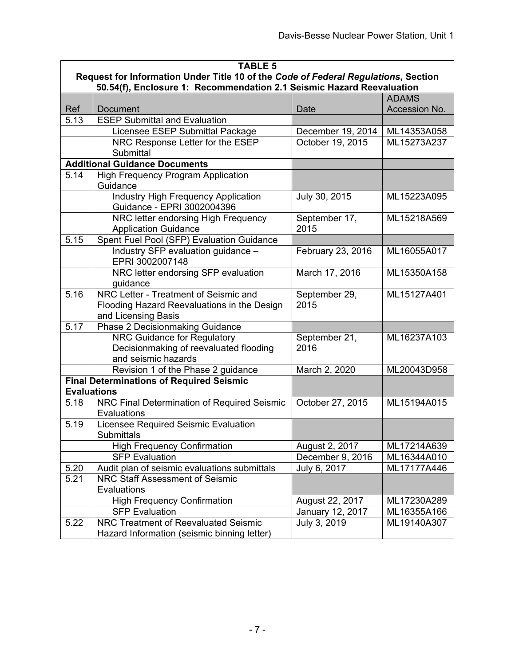| <b>TABLE 5</b>     |                                                                                                                                                             |                   |               |  |
|--------------------|-------------------------------------------------------------------------------------------------------------------------------------------------------------|-------------------|---------------|--|
|                    | Request for Information Under Title 10 of the Code of Federal Regulations, Section<br>50.54(f), Enclosure 1: Recommendation 2.1 Seismic Hazard Reevaluation |                   |               |  |
|                    |                                                                                                                                                             |                   | <b>ADAMS</b>  |  |
| Ref                | Document                                                                                                                                                    | Date              | Accession No. |  |
| $\overline{5.13}$  | <b>ESEP Submittal and Evaluation</b>                                                                                                                        |                   |               |  |
|                    | Licensee ESEP Submittal Package                                                                                                                             | December 19, 2014 | ML14353A058   |  |
|                    | NRC Response Letter for the ESEP                                                                                                                            | October 19, 2015  | ML15273A237   |  |
|                    | Submittal                                                                                                                                                   |                   |               |  |
|                    | <b>Additional Guidance Documents</b>                                                                                                                        |                   |               |  |
| 5.14               | <b>High Frequency Program Application</b>                                                                                                                   |                   |               |  |
|                    | Guidance                                                                                                                                                    |                   |               |  |
|                    | <b>Industry High Frequency Application</b>                                                                                                                  | July 30, 2015     | ML15223A095   |  |
|                    | Guidance - EPRI 3002004396                                                                                                                                  |                   |               |  |
|                    | NRC letter endorsing High Frequency                                                                                                                         | September 17,     | ML15218A569   |  |
|                    | <b>Application Guidance</b>                                                                                                                                 | 2015              |               |  |
| 5.15               | Spent Fuel Pool (SFP) Evaluation Guidance                                                                                                                   |                   |               |  |
|                    | Industry SFP evaluation guidance -                                                                                                                          | February 23, 2016 | ML16055A017   |  |
|                    | EPRI 3002007148                                                                                                                                             |                   |               |  |
|                    | NRC letter endorsing SFP evaluation                                                                                                                         | March 17, 2016    | ML15350A158   |  |
|                    | guidance                                                                                                                                                    |                   |               |  |
| 5.16               | NRC Letter - Treatment of Seismic and                                                                                                                       | September 29,     | ML15127A401   |  |
|                    | Flooding Hazard Reevaluations in the Design                                                                                                                 | 2015              |               |  |
| 5.17               | and Licensing Basis<br><b>Phase 2 Decisionmaking Guidance</b>                                                                                               |                   |               |  |
|                    | NRC Guidance for Regulatory                                                                                                                                 | September 21,     | ML16237A103   |  |
|                    | Decisionmaking of reevaluated flooding                                                                                                                      | 2016              |               |  |
|                    | and seismic hazards                                                                                                                                         |                   |               |  |
|                    | Revision 1 of the Phase 2 guidance                                                                                                                          | March 2, 2020     | ML20043D958   |  |
|                    | <b>Final Determinations of Required Seismic</b>                                                                                                             |                   |               |  |
| <b>Evaluations</b> |                                                                                                                                                             |                   |               |  |
| 5.18               | NRC Final Determination of Required Seismic                                                                                                                 | October 27, 2015  | ML15194A015   |  |
|                    | Evaluations                                                                                                                                                 |                   |               |  |
| 5.19               | Licensee Required Seismic Evaluation                                                                                                                        |                   |               |  |
|                    | <b>Submittals</b>                                                                                                                                           |                   |               |  |
|                    | <b>High Frequency Confirmation</b>                                                                                                                          | August 2, 2017    | ML17214A639   |  |
|                    | <b>SFP Evaluation</b>                                                                                                                                       | December 9, 2016  | ML16344A010   |  |
| 5.20               | Audit plan of seismic evaluations submittals                                                                                                                | July 6, 2017      | ML17177A446   |  |
| 5.21               | <b>NRC Staff Assessment of Seismic</b>                                                                                                                      |                   |               |  |
|                    | Evaluations                                                                                                                                                 |                   |               |  |
|                    | <b>High Frequency Confirmation</b>                                                                                                                          | August 22, 2017   | ML17230A289   |  |
|                    | <b>SFP Evaluation</b>                                                                                                                                       | January 12, 2017  | ML16355A166   |  |
| 5.22               | NRC Treatment of Reevaluated Seismic                                                                                                                        | July 3, 2019      | ML19140A307   |  |
|                    | Hazard Information (seismic binning letter)                                                                                                                 |                   |               |  |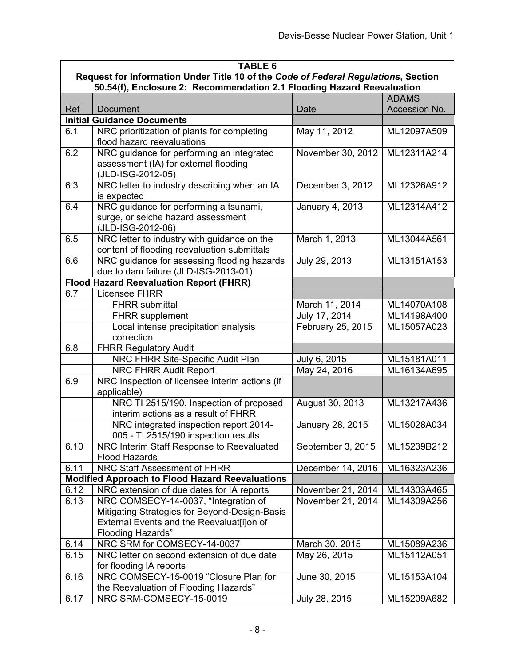| <b>TABLE 6</b>                                                                     |                                                                                                                                                                |                   |               |
|------------------------------------------------------------------------------------|----------------------------------------------------------------------------------------------------------------------------------------------------------------|-------------------|---------------|
| Request for Information Under Title 10 of the Code of Federal Regulations, Section |                                                                                                                                                                |                   |               |
|                                                                                    | 50.54(f), Enclosure 2: Recommendation 2.1 Flooding Hazard Reevaluation                                                                                         |                   |               |
|                                                                                    |                                                                                                                                                                |                   | <b>ADAMS</b>  |
| Ref                                                                                | <b>Document</b>                                                                                                                                                | Date              | Accession No. |
|                                                                                    | <b>Initial Guidance Documents</b>                                                                                                                              |                   |               |
| 6.1                                                                                | NRC prioritization of plants for completing<br>flood hazard reevaluations                                                                                      | May 11, 2012      | ML12097A509   |
| 6.2                                                                                | NRC guidance for performing an integrated<br>assessment (IA) for external flooding<br>(JLD-ISG-2012-05)                                                        | November 30, 2012 | ML12311A214   |
| 6.3                                                                                | NRC letter to industry describing when an IA<br>is expected                                                                                                    | December 3, 2012  | ML12326A912   |
| 6.4                                                                                | NRC guidance for performing a tsunami,<br>surge, or seiche hazard assessment<br>(JLD-ISG-2012-06)                                                              | January 4, 2013   | ML12314A412   |
| 6.5                                                                                | NRC letter to industry with guidance on the<br>content of flooding reevaluation submittals                                                                     | March 1, 2013     | ML13044A561   |
| 6.6                                                                                | NRC guidance for assessing flooding hazards<br>due to dam failure (JLD-ISG-2013-01)                                                                            | July 29, 2013     | ML13151A153   |
|                                                                                    | <b>Flood Hazard Reevaluation Report (FHRR)</b>                                                                                                                 |                   |               |
| 6.7                                                                                | <b>Licensee FHRR</b>                                                                                                                                           |                   |               |
|                                                                                    | <b>FHRR</b> submittal                                                                                                                                          | March 11, 2014    | ML14070A108   |
|                                                                                    | <b>FHRR</b> supplement                                                                                                                                         | July 17, 2014     | ML14198A400   |
|                                                                                    | Local intense precipitation analysis<br>correction                                                                                                             | February 25, 2015 | ML15057A023   |
| 6.8                                                                                | <b>FHRR Regulatory Audit</b>                                                                                                                                   |                   |               |
|                                                                                    | NRC FHRR Site-Specific Audit Plan                                                                                                                              | July 6, 2015      | ML15181A011   |
|                                                                                    | NRC FHRR Audit Report                                                                                                                                          | May 24, 2016      | ML16134A695   |
| 6.9                                                                                | NRC Inspection of licensee interim actions (if<br>applicable)                                                                                                  |                   |               |
|                                                                                    | NRC TI 2515/190, Inspection of proposed<br>interim actions as a result of FHRR                                                                                 | August 30, 2013   | ML13217A436   |
|                                                                                    | NRC integrated inspection report 2014-<br>005 - TI 2515/190 inspection results                                                                                 | January 28, 2015  | ML15028A034   |
| 6.10                                                                               | NRC Interim Staff Response to Reevaluated<br><b>Flood Hazards</b>                                                                                              | September 3, 2015 | ML15239B212   |
| 6.11                                                                               | NRC Staff Assessment of FHRR                                                                                                                                   | December 14, 2016 | ML16323A236   |
|                                                                                    | <b>Modified Approach to Flood Hazard Reevaluations</b>                                                                                                         |                   |               |
| 6.12                                                                               | NRC extension of due dates for IA reports                                                                                                                      | November 21, 2014 | ML14303A465   |
| 6.13                                                                               | NRC COMSECY-14-0037, "Integration of<br>Mitigating Strategies for Beyond-Design-Basis<br>External Events and the Reevaluat[i]on of<br><b>Flooding Hazards"</b> | November 21, 2014 | ML14309A256   |
| 6.14                                                                               | NRC SRM for COMSECY-14-0037                                                                                                                                    | March 30, 2015    | ML15089A236   |
| 6.15                                                                               | NRC letter on second extension of due date                                                                                                                     | May 26, 2015      | ML15112A051   |
|                                                                                    | for flooding IA reports                                                                                                                                        |                   |               |
| 6.16                                                                               | NRC COMSECY-15-0019 "Closure Plan for<br>the Reevaluation of Flooding Hazards"                                                                                 | June 30, 2015     | ML15153A104   |
| 6.17                                                                               | NRC SRM-COMSECY-15-0019                                                                                                                                        | July 28, 2015     | ML15209A682   |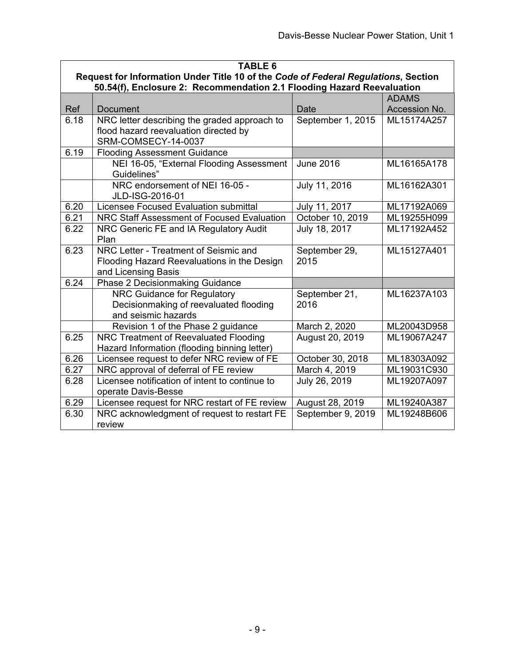|      | <b>TABLE 6</b>                                                                     |                   |               |  |
|------|------------------------------------------------------------------------------------|-------------------|---------------|--|
|      | Request for Information Under Title 10 of the Code of Federal Regulations, Section |                   |               |  |
|      | 50.54(f), Enclosure 2: Recommendation 2.1 Flooding Hazard Reevaluation             |                   |               |  |
|      |                                                                                    |                   | <b>ADAMS</b>  |  |
| Ref  | <b>Document</b>                                                                    | Date              | Accession No. |  |
| 6.18 | NRC letter describing the graded approach to                                       | September 1, 2015 | ML15174A257   |  |
|      | flood hazard reevaluation directed by                                              |                   |               |  |
|      | SRM-COMSECY-14-0037                                                                |                   |               |  |
| 6.19 | <b>Flooding Assessment Guidance</b>                                                |                   |               |  |
|      | NEI 16-05, "External Flooding Assessment                                           | <b>June 2016</b>  | ML16165A178   |  |
|      | Guidelines"                                                                        |                   |               |  |
|      | NRC endorsement of NEI 16-05 -<br>JLD-ISG-2016-01                                  | July 11, 2016     | ML16162A301   |  |
| 6.20 | Licensee Focused Evaluation submittal                                              | July 11, 2017     | ML17192A069   |  |
| 6.21 | NRC Staff Assessment of Focused Evaluation                                         | October 10, 2019  | ML19255H099   |  |
| 6.22 | NRC Generic FE and IA Regulatory Audit                                             | July 18, 2017     | ML17192A452   |  |
|      | Plan                                                                               |                   |               |  |
| 6.23 | NRC Letter - Treatment of Seismic and                                              | September 29,     | ML15127A401   |  |
|      | Flooding Hazard Reevaluations in the Design                                        | 2015              |               |  |
|      | and Licensing Basis                                                                |                   |               |  |
| 6.24 | Phase 2 Decisionmaking Guidance                                                    |                   |               |  |
|      | <b>NRC Guidance for Regulatory</b>                                                 | September 21,     | ML16237A103   |  |
|      | Decisionmaking of reevaluated flooding                                             | 2016              |               |  |
|      | and seismic hazards                                                                |                   |               |  |
|      | Revision 1 of the Phase 2 guidance                                                 | March 2, 2020     | ML20043D958   |  |
| 6.25 | NRC Treatment of Reevaluated Flooding                                              | August 20, 2019   | ML19067A247   |  |
|      | Hazard Information (flooding binning letter)                                       |                   |               |  |
| 6.26 | Licensee request to defer NRC review of FE                                         | October 30, 2018  | ML18303A092   |  |
| 6.27 | NRC approval of deferral of FE review                                              | March 4, 2019     | ML19031C930   |  |
| 6.28 | Licensee notification of intent to continue to                                     | July 26, 2019     | ML19207A097   |  |
|      | operate Davis-Besse                                                                |                   |               |  |
| 6.29 | Licensee request for NRC restart of FE review                                      | August 28, 2019   | ML19240A387   |  |
| 6.30 | NRC acknowledgment of request to restart FE                                        | September 9, 2019 | ML19248B606   |  |
|      | review                                                                             |                   |               |  |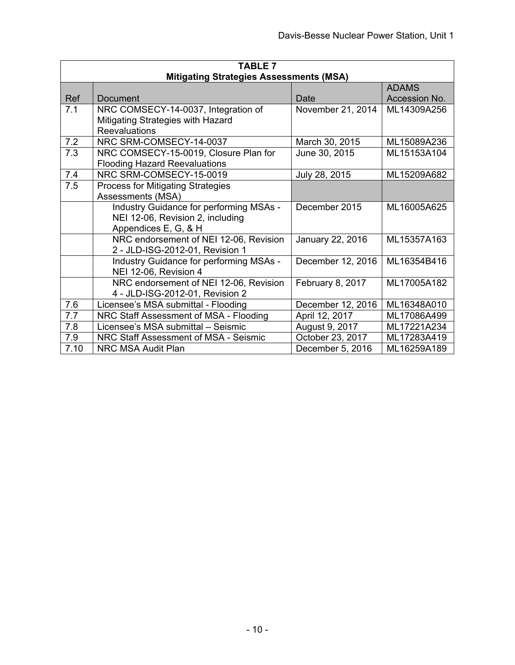| <b>TABLE 7</b> |                                                |                   |               |
|----------------|------------------------------------------------|-------------------|---------------|
|                | <b>Mitigating Strategies Assessments (MSA)</b> |                   |               |
|                |                                                |                   | <b>ADAMS</b>  |
| Ref            | Document                                       | Date              | Accession No. |
| 7.1            | NRC COMSECY-14-0037, Integration of            | November 21, 2014 | ML14309A256   |
|                | Mitigating Strategies with Hazard              |                   |               |
|                | Reevaluations                                  |                   |               |
| 7.2            | NRC SRM-COMSECY-14-0037                        | March 30, 2015    | ML15089A236   |
| 7.3            | NRC COMSECY-15-0019, Closure Plan for          | June 30, 2015     | ML15153A104   |
|                | <b>Flooding Hazard Reevaluations</b>           |                   |               |
| 7.4            | NRC SRM-COMSECY-15-0019                        | July 28, 2015     | ML15209A682   |
| 7.5            | <b>Process for Mitigating Strategies</b>       |                   |               |
|                | Assessments (MSA)                              |                   |               |
|                | Industry Guidance for performing MSAs -        | December 2015     | ML16005A625   |
|                | NEI 12-06, Revision 2, including               |                   |               |
|                | Appendices E, G, & H                           |                   |               |
|                | NRC endorsement of NEI 12-06, Revision         | January 22, 2016  | ML15357A163   |
|                | 2 - JLD-ISG-2012-01, Revision 1                |                   |               |
|                | Industry Guidance for performing MSAs -        | December 12, 2016 | ML16354B416   |
|                | NEI 12-06, Revision 4                          |                   |               |
|                | NRC endorsement of NEI 12-06, Revision         | February 8, 2017  | ML17005A182   |
|                | 4 - JLD-ISG-2012-01, Revision 2                |                   |               |
| 7.6            | Licensee's MSA submittal - Flooding            | December 12, 2016 | ML16348A010   |
| 7.7            | NRC Staff Assessment of MSA - Flooding         | April 12, 2017    | ML17086A499   |
| 7.8            | Licensee's MSA submittal - Seismic             | August 9, 2017    | ML17221A234   |
| 7.9            | NRC Staff Assessment of MSA - Seismic          | October 23, 2017  | ML17283A419   |
| 7.10           | NRC MSA Audit Plan                             | December 5, 2016  | ML16259A189   |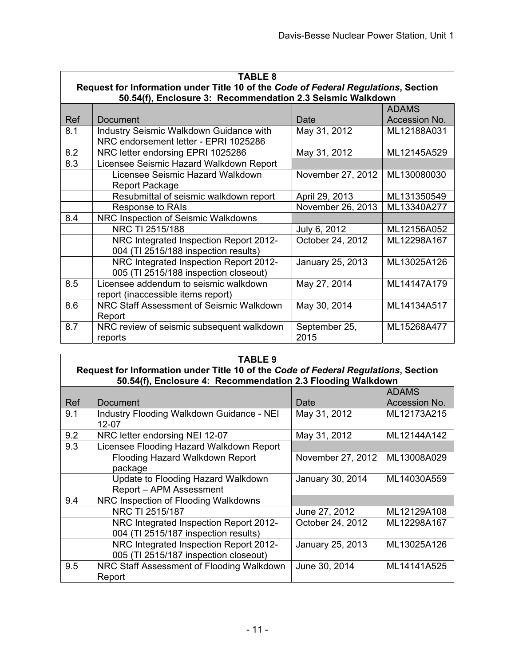| <b>TABLE 8</b> |                                                                                    |                   |               |
|----------------|------------------------------------------------------------------------------------|-------------------|---------------|
|                | Request for Information under Title 10 of the Code of Federal Regulations, Section |                   |               |
|                | 50.54(f), Enclosure 3: Recommendation 2.3 Seismic Walkdown                         |                   | <b>ADAMS</b>  |
| Ref            | Document                                                                           | Date              | Accession No. |
| 8.1            | Industry Seismic Walkdown Guidance with                                            | May 31, 2012      | ML12188A031   |
|                | NRC endorsement letter - EPRI 1025286                                              |                   |               |
| 8.2            | NRC letter endorsing EPRI 1025286                                                  | May 31, 2012      | ML12145A529   |
| 8.3            | Licensee Seismic Hazard Walkdown Report                                            |                   |               |
|                | Licensee Seismic Hazard Walkdown                                                   | November 27, 2012 | ML130080030   |
|                | Report Package                                                                     |                   |               |
|                | Resubmittal of seismic walkdown report                                             | April 29, 2013    | ML131350549   |
|                | Response to RAIs                                                                   | November 26, 2013 | ML13340A277   |
| 8.4            | NRC Inspection of Seismic Walkdowns                                                |                   |               |
|                | NRC TI 2515/188                                                                    | July 6, 2012      | ML12156A052   |
|                | NRC Integrated Inspection Report 2012-                                             | October 24, 2012  | ML12298A167   |
|                | 004 (TI 2515/188 inspection results)                                               |                   |               |
|                | NRC Integrated Inspection Report 2012-                                             | January 25, 2013  | ML13025A126   |
|                | 005 (TI 2515/188 inspection closeout)                                              |                   |               |
| 8.5            | Licensee addendum to seismic walkdown                                              | May 27, 2014      | ML14147A179   |
|                | report (inaccessible items report)                                                 |                   |               |
| 8.6            | NRC Staff Assessment of Seismic Walkdown                                           | May 30, 2014      | ML14134A517   |
|                | Report                                                                             |                   |               |
| 8.7            | NRC review of seismic subsequent walkdown                                          | September 25,     | ML15268A477   |
|                | reports                                                                            | 2015              |               |

| <b>TABLE 9</b> |                                                                                                                                                   |                   |               |  |
|----------------|---------------------------------------------------------------------------------------------------------------------------------------------------|-------------------|---------------|--|
|                | Request for Information under Title 10 of the Code of Federal Regulations, Section<br>50.54(f), Enclosure 4: Recommendation 2.3 Flooding Walkdown |                   |               |  |
|                |                                                                                                                                                   |                   | <b>ADAMS</b>  |  |
| Ref            | Document                                                                                                                                          | Date              | Accession No. |  |
| 9.1            | Industry Flooding Walkdown Guidance - NEI<br>12-07                                                                                                | May 31, 2012      | ML12173A215   |  |
| 9.2            | NRC letter endorsing NEI 12-07                                                                                                                    | May 31, 2012      | ML12144A142   |  |
| 9.3            | Licensee Flooding Hazard Walkdown Report                                                                                                          |                   |               |  |
|                | Flooding Hazard Walkdown Report                                                                                                                   | November 27, 2012 | ML13008A029   |  |
|                | package                                                                                                                                           |                   |               |  |
|                | Update to Flooding Hazard Walkdown                                                                                                                | January 30, 2014  | ML14030A559   |  |
|                | Report - APM Assessment                                                                                                                           |                   |               |  |
| 9.4            | NRC Inspection of Flooding Walkdowns                                                                                                              |                   |               |  |
|                | NRC TI 2515/187                                                                                                                                   | June 27, 2012     | ML12129A108   |  |
|                | NRC Integrated Inspection Report 2012-                                                                                                            | October 24, 2012  | ML12298A167   |  |
|                | 004 (TI 2515/187 inspection results)                                                                                                              |                   |               |  |
|                | NRC Integrated Inspection Report 2012-                                                                                                            | January 25, 2013  | ML13025A126   |  |
|                | 005 (TI 2515/187 inspection closeout)                                                                                                             |                   |               |  |
| 9.5            | NRC Staff Assessment of Flooding Walkdown                                                                                                         | June 30, 2014     | ML14141A525   |  |
|                | Report                                                                                                                                            |                   |               |  |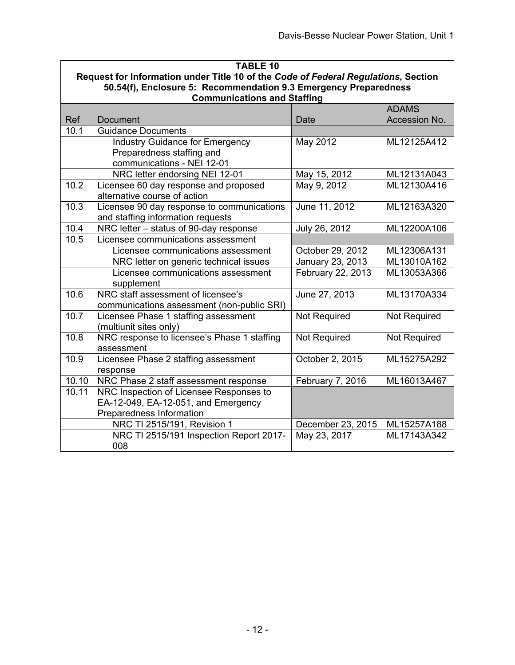| <b>TABLE 10</b>                                                                    |                                             |                   |                               |  |  |
|------------------------------------------------------------------------------------|---------------------------------------------|-------------------|-------------------------------|--|--|
| Request for Information under Title 10 of the Code of Federal Regulations, Section |                                             |                   |                               |  |  |
| 50.54(f), Enclosure 5: Recommendation 9.3 Emergency Preparedness                   |                                             |                   |                               |  |  |
| <b>Communications and Staffing</b>                                                 |                                             |                   |                               |  |  |
| Ref                                                                                | <b>Document</b>                             | Date              | <b>ADAMS</b><br>Accession No. |  |  |
| 10.1                                                                               | <b>Guidance Documents</b>                   |                   |                               |  |  |
|                                                                                    | <b>Industry Guidance for Emergency</b>      | May 2012          | ML12125A412                   |  |  |
|                                                                                    | Preparedness staffing and                   |                   |                               |  |  |
|                                                                                    | communications - NEI 12-01                  |                   |                               |  |  |
|                                                                                    | NRC letter endorsing NEI 12-01              | May 15, 2012      | ML12131A043                   |  |  |
| 10.2                                                                               | Licensee 60 day response and proposed       | May 9, 2012       | ML12130A416                   |  |  |
|                                                                                    | alternative course of action                |                   |                               |  |  |
| 10.3                                                                               | Licensee 90 day response to communications  | June 11, 2012     | ML12163A320                   |  |  |
|                                                                                    | and staffing information requests           |                   |                               |  |  |
| 10.4                                                                               | NRC letter - status of 90-day response      | July 26, 2012     | ML12200A106                   |  |  |
| 10.5                                                                               | Licensee communications assessment          |                   |                               |  |  |
|                                                                                    | Licensee communications assessment          | October 29, 2012  | ML12306A131                   |  |  |
|                                                                                    | NRC letter on generic technical issues      | January 23, 2013  | ML13010A162                   |  |  |
|                                                                                    | Licensee communications assessment          | February 22, 2013 | ML13053A366                   |  |  |
|                                                                                    | supplement                                  |                   |                               |  |  |
| 10.6                                                                               | NRC staff assessment of licensee's          | June 27, 2013     | ML13170A334                   |  |  |
|                                                                                    | communications assessment (non-public SRI)  |                   |                               |  |  |
| 10.7                                                                               | Licensee Phase 1 staffing assessment        | Not Required      | Not Required                  |  |  |
|                                                                                    | (multiunit sites only)                      |                   |                               |  |  |
| 10.8                                                                               | NRC response to licensee's Phase 1 staffing | Not Required      | Not Required                  |  |  |
|                                                                                    | assessment                                  |                   |                               |  |  |
| 10.9                                                                               | Licensee Phase 2 staffing assessment        | October 2, 2015   | ML15275A292                   |  |  |
|                                                                                    | response                                    |                   |                               |  |  |
| 10.10                                                                              | NRC Phase 2 staff assessment response       | February 7, 2016  | ML16013A467                   |  |  |
| 10.11                                                                              | NRC Inspection of Licensee Responses to     |                   |                               |  |  |
|                                                                                    | EA-12-049, EA-12-051, and Emergency         |                   |                               |  |  |
|                                                                                    | Preparedness Information                    |                   |                               |  |  |
|                                                                                    | NRC TI 2515/191, Revision 1                 | December 23, 2015 | ML15257A188                   |  |  |
|                                                                                    | NRC TI 2515/191 Inspection Report 2017-     | May 23, 2017      | ML17143A342                   |  |  |
|                                                                                    | 008                                         |                   |                               |  |  |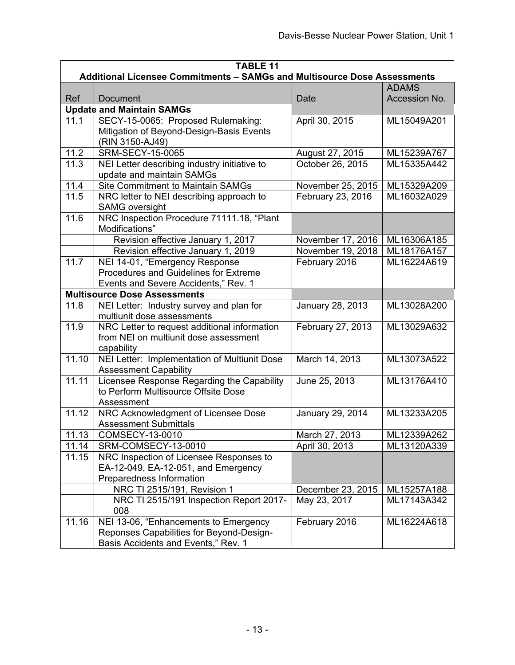| <b>TABLE 11</b><br>Additional Licensee Commitments - SAMGs and Multisource Dose Assessments |                                                                      |                                   |                            |
|---------------------------------------------------------------------------------------------|----------------------------------------------------------------------|-----------------------------------|----------------------------|
|                                                                                             |                                                                      |                                   | <b>ADAMS</b>               |
| Ref                                                                                         | <b>Document</b>                                                      | Date                              | Accession No.              |
|                                                                                             | <b>Update and Maintain SAMGs</b>                                     |                                   |                            |
| 11.1                                                                                        | SECY-15-0065: Proposed Rulemaking:                                   | April 30, 2015                    | ML15049A201                |
|                                                                                             | Mitigation of Beyond-Design-Basis Events                             |                                   |                            |
|                                                                                             | (RIN 3150-AJ49)                                                      |                                   |                            |
| 11.2                                                                                        | <b>SRM-SECY-15-0065</b>                                              | August 27, 2015                   | ML15239A767                |
| 11.3                                                                                        | NEI Letter describing industry initiative to                         | October 26, 2015                  | ML15335A442                |
|                                                                                             | update and maintain SAMGs                                            |                                   |                            |
| 11.4                                                                                        | <b>Site Commitment to Maintain SAMGs</b>                             | November 25, 2015                 | ML15329A209                |
| 11.5                                                                                        | NRC letter to NEI describing approach to                             | February 23, 2016                 | ML16032A029                |
|                                                                                             | <b>SAMG oversight</b>                                                |                                   |                            |
| 11.6                                                                                        | NRC Inspection Procedure 71111.18, "Plant                            |                                   |                            |
|                                                                                             | Modifications"                                                       |                                   |                            |
|                                                                                             | Revision effective January 1, 2017                                   | November 17, 2016                 | ML16306A185                |
| 11.7                                                                                        | Revision effective January 1, 2019<br>NEI 14-01, "Emergency Response | November 19, 2018                 | ML18176A157                |
|                                                                                             | Procedures and Guidelines for Extreme                                | February 2016                     | ML16224A619                |
|                                                                                             | Events and Severe Accidents," Rev. 1                                 |                                   |                            |
|                                                                                             | <b>Multisource Dose Assessments</b>                                  |                                   |                            |
| 11.8                                                                                        | NEI Letter: Industry survey and plan for                             | January 28, 2013                  | ML13028A200                |
|                                                                                             | multiunit dose assessments                                           |                                   |                            |
| 11.9                                                                                        | NRC Letter to request additional information                         | February 27, 2013                 | ML13029A632                |
|                                                                                             | from NEI on multiunit dose assessment                                |                                   |                            |
|                                                                                             | capability                                                           |                                   |                            |
| 11.10                                                                                       | NEI Letter: Implementation of Multiunit Dose                         | March 14, 2013                    | ML13073A522                |
|                                                                                             | <b>Assessment Capability</b>                                         |                                   |                            |
| 11.11                                                                                       | Licensee Response Regarding the Capability                           | June 25, 2013                     | ML13176A410                |
|                                                                                             | to Perform Multisource Offsite Dose                                  |                                   |                            |
|                                                                                             | Assessment                                                           |                                   |                            |
| 11.12                                                                                       | NRC Acknowledgment of Licensee Dose                                  | January 29, 2014                  | ML13233A205                |
|                                                                                             | <b>Assessment Submittals</b>                                         |                                   |                            |
| 11.13                                                                                       | COMSECY-13-0010                                                      | March 27, 2013                    | ML12339A262                |
| 11.14                                                                                       | SRM-COMSECY-13-0010                                                  | April 30, 2013                    | ML13120A339                |
| 11.15                                                                                       | NRC Inspection of Licensee Responses to                              |                                   |                            |
|                                                                                             | EA-12-049, EA-12-051, and Emergency                                  |                                   |                            |
|                                                                                             | Preparedness Information<br>NRC TI 2515/191, Revision 1              |                                   |                            |
|                                                                                             | NRC TI 2515/191 Inspection Report 2017-                              | December 23, 2015<br>May 23, 2017 | ML15257A188<br>ML17143A342 |
|                                                                                             | 008                                                                  |                                   |                            |
| 11.16                                                                                       | NEI 13-06, "Enhancements to Emergency                                | February 2016                     | ML16224A618                |
|                                                                                             | Reponses Capabilities for Beyond-Design-                             |                                   |                            |
|                                                                                             | Basis Accidents and Events," Rev. 1                                  |                                   |                            |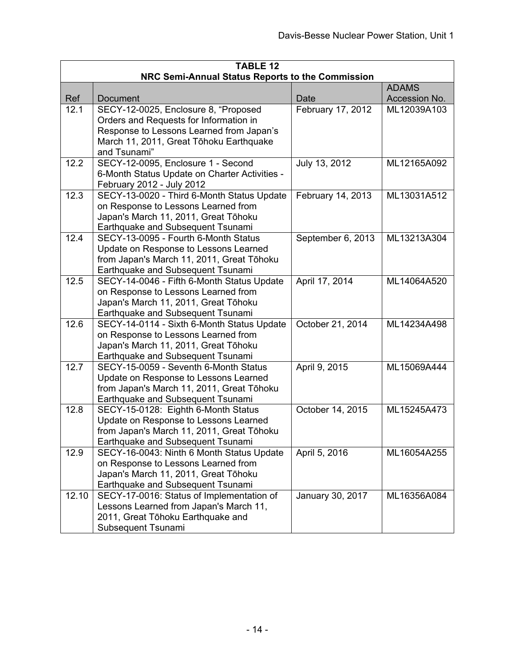| <b>TABLE 12</b><br>NRC Semi-Annual Status Reports to the Commission |                                                                                                                                                                                       |                   |               |  |  |
|---------------------------------------------------------------------|---------------------------------------------------------------------------------------------------------------------------------------------------------------------------------------|-------------------|---------------|--|--|
| <b>ADAMS</b>                                                        |                                                                                                                                                                                       |                   |               |  |  |
| Ref                                                                 | Document                                                                                                                                                                              | Date              | Accession No. |  |  |
| 12.1                                                                | SECY-12-0025, Enclosure 8, "Proposed<br>Orders and Requests for Information in<br>Response to Lessons Learned from Japan's<br>March 11, 2011, Great Tōhoku Earthquake<br>and Tsunami" | February 17, 2012 | ML12039A103   |  |  |
| 12.2                                                                | SECY-12-0095, Enclosure 1 - Second<br>6-Month Status Update on Charter Activities -<br>February 2012 - July 2012                                                                      | July 13, 2012     | ML12165A092   |  |  |
| 12.3                                                                | SECY-13-0020 - Third 6-Month Status Update<br>on Response to Lessons Learned from<br>Japan's March 11, 2011, Great Tōhoku<br>Earthquake and Subsequent Tsunami                        | February 14, 2013 | ML13031A512   |  |  |
| 12.4                                                                | SECY-13-0095 - Fourth 6-Month Status<br>Update on Response to Lessons Learned<br>from Japan's March 11, 2011, Great Tōhoku<br>Earthquake and Subsequent Tsunami                       | September 6, 2013 | ML13213A304   |  |  |
| 12.5                                                                | SECY-14-0046 - Fifth 6-Month Status Update<br>on Response to Lessons Learned from<br>Japan's March 11, 2011, Great Tōhoku<br>Earthquake and Subsequent Tsunami                        | April 17, 2014    | ML14064A520   |  |  |
| 12.6                                                                | SECY-14-0114 - Sixth 6-Month Status Update<br>on Response to Lessons Learned from<br>Japan's March 11, 2011, Great Tōhoku<br>Earthquake and Subsequent Tsunami                        | October 21, 2014  | ML14234A498   |  |  |
| 12.7                                                                | SECY-15-0059 - Seventh 6-Month Status<br>Update on Response to Lessons Learned<br>from Japan's March 11, 2011, Great Tōhoku<br>Earthquake and Subsequent Tsunami                      | April 9, 2015     | ML15069A444   |  |  |
| 12.8                                                                | SECY-15-0128: Eighth 6-Month Status<br>Update on Response to Lessons Learned<br>from Japan's March 11, 2011, Great Tōhoku<br>Earthquake and Subsequent Tsunami                        | October 14, 2015  | ML15245A473   |  |  |
| 12.9                                                                | SECY-16-0043: Ninth 6 Month Status Update<br>on Response to Lessons Learned from<br>Japan's March 11, 2011, Great Tōhoku<br>Earthquake and Subsequent Tsunami                         | April 5, 2016     | ML16054A255   |  |  |
| 12.10                                                               | SECY-17-0016: Status of Implementation of<br>Lessons Learned from Japan's March 11,<br>2011, Great Tōhoku Earthquake and<br>Subsequent Tsunami                                        | January 30, 2017  | ML16356A084   |  |  |